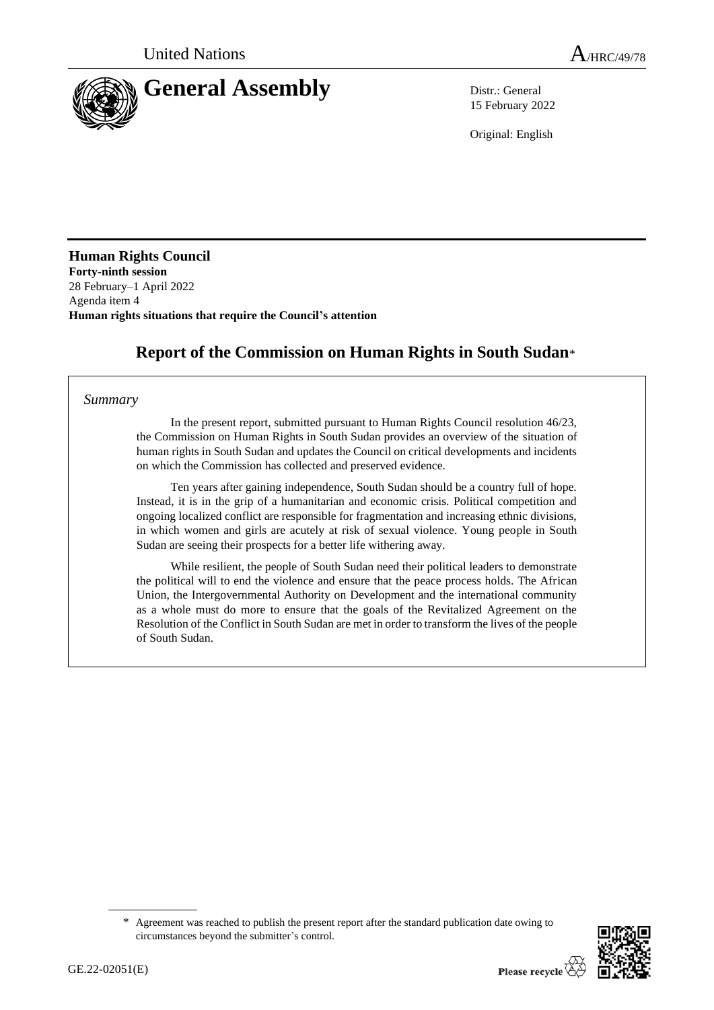

15 February 2022

Original: English

**Human Rights Council Forty-ninth session** 28 February–1 April 2022 Agenda item 4 **Human rights situations that require the Council's attention**

# **Report of the Commission on Human Rights in South Sudan**\*

#### *Summary*

In the present report, submitted pursuant to Human Rights Council resolution 46/23, the Commission on Human Rights in South Sudan provides an overview of the situation of human rights in South Sudan and updates the Council on critical developments and incidents on which the Commission has collected and preserved evidence.

Ten years after gaining independence, South Sudan should be a country full of hope. Instead, it is in the grip of a humanitarian and economic crisis. Political competition and ongoing localized conflict are responsible for fragmentation and increasing ethnic divisions, in which women and girls are acutely at risk of sexual violence. Young people in South Sudan are seeing their prospects for a better life withering away.

While resilient, the people of South Sudan need their political leaders to demonstrate the political will to end the violence and ensure that the peace process holds. The African Union, the Intergovernmental Authority on Development and the international community as a whole must do more to ensure that the goals of the Revitalized Agreement on the Resolution of the Conflict in South Sudan are met in order to transform the lives of the people of South Sudan.

<sup>\*</sup> Agreement was reached to publish the present report after the standard publication date owing to circumstances beyond the submitter's control.

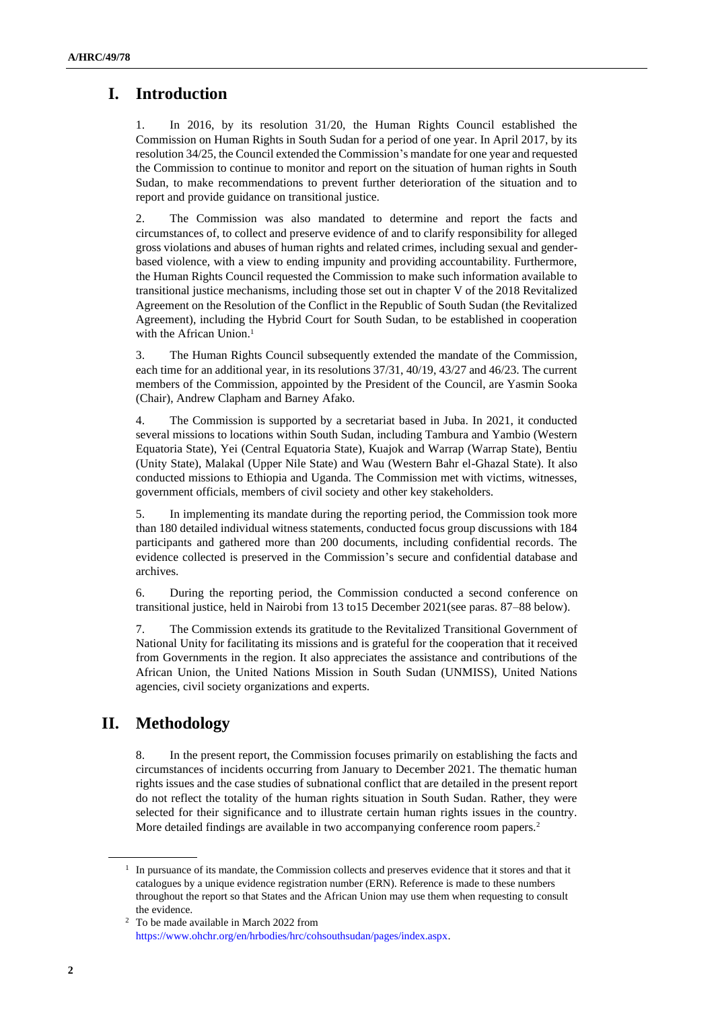# **I. Introduction**

1. In 2016, by its resolution 31/20, the Human Rights Council established the Commission on Human Rights in South Sudan for a period of one year. In April 2017, by its resolution 34/25, the Council extended the Commission's mandate for one year and requested the Commission to continue to monitor and report on the situation of human rights in South Sudan, to make recommendations to prevent further deterioration of the situation and to report and provide guidance on transitional justice.

2. The Commission was also mandated to determine and report the facts and circumstances of, to collect and preserve evidence of and to clarify responsibility for alleged gross violations and abuses of human rights and related crimes, including sexual and genderbased violence, with a view to ending impunity and providing accountability. Furthermore, the Human Rights Council requested the Commission to make such information available to transitional justice mechanisms, including those set out in chapter V of the 2018 Revitalized Agreement on the Resolution of the Conflict in the Republic of South Sudan (the Revitalized Agreement), including the Hybrid Court for South Sudan, to be established in cooperation with the African Union.<sup>1</sup>

3. The Human Rights Council subsequently extended the mandate of the Commission, each time for an additional year, in its resolutions 37/31, 40/19, 43/27 and 46/23. The current members of the Commission, appointed by the President of the Council, are Yasmin Sooka (Chair), Andrew Clapham and Barney Afako.

4. The Commission is supported by a secretariat based in Juba. In 2021, it conducted several missions to locations within South Sudan, including Tambura and Yambio (Western Equatoria State), Yei (Central Equatoria State), Kuajok and Warrap (Warrap State), Bentiu (Unity State), Malakal (Upper Nile State) and Wau (Western Bahr el-Ghazal State). It also conducted missions to Ethiopia and Uganda. The Commission met with victims, witnesses, government officials, members of civil society and other key stakeholders.

5. In implementing its mandate during the reporting period, the Commission took more than 180 detailed individual witness statements, conducted focus group discussions with 184 participants and gathered more than 200 documents, including confidential records. The evidence collected is preserved in the Commission's secure and confidential database and archives.

6. During the reporting period, the Commission conducted a second conference on transitional justice, held in Nairobi from 13 to15 December 2021(see paras. 87–88 below).

7. The Commission extends its gratitude to the Revitalized Transitional Government of National Unity for facilitating its missions and is grateful for the cooperation that it received from Governments in the region. It also appreciates the assistance and contributions of the African Union, the United Nations Mission in South Sudan (UNMISS), United Nations agencies, civil society organizations and experts.

# **II. Methodology**

8. In the present report, the Commission focuses primarily on establishing the facts and circumstances of incidents occurring from January to December 2021. The thematic human rights issues and the case studies of subnational conflict that are detailed in the present report do not reflect the totality of the human rights situation in South Sudan. Rather, they were selected for their significance and to illustrate certain human rights issues in the country. More detailed findings are available in two accompanying conference room papers.<sup>2</sup>

<sup>&</sup>lt;sup>1</sup> In pursuance of its mandate, the Commission collects and preserves evidence that it stores and that it catalogues by a unique evidence registration number (ERN). Reference is made to these numbers throughout the report so that States and the African Union may use them when requesting to consult the evidence.

<sup>2</sup> To be made available in March 2022 from [https://www.ohchr.org/en/hrbodies/hrc/cohsouthsudan/pages/index.aspx.](https://www.ohchr.org/en/hrbodies/hrc/cohsouthsudan/pages/index.aspx)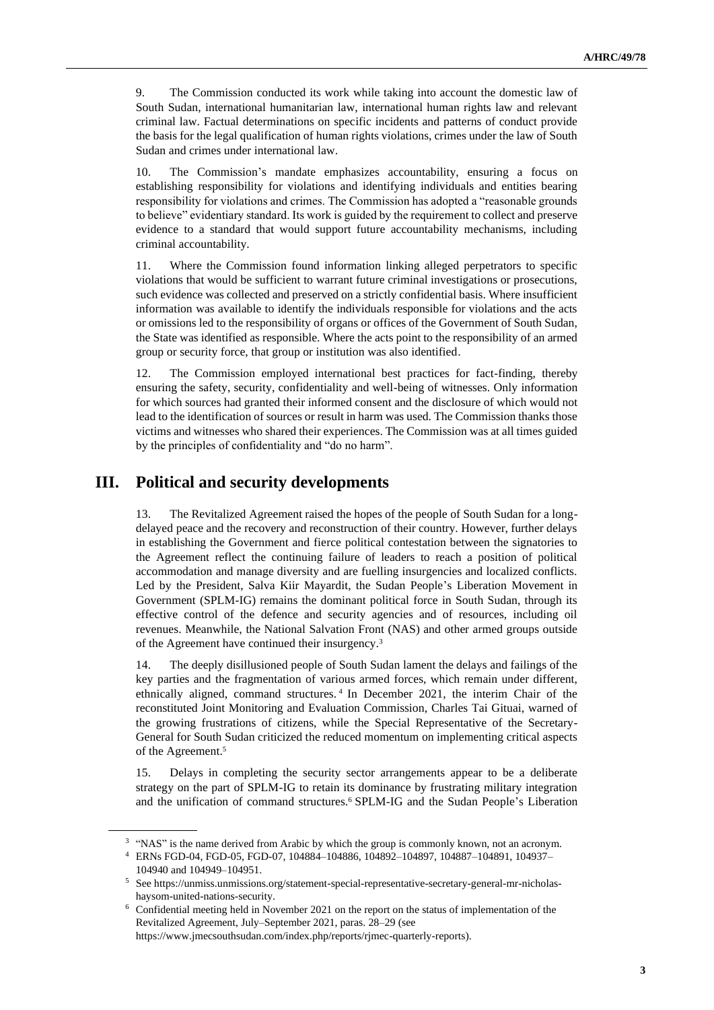9. The Commission conducted its work while taking into account the domestic law of South Sudan, international humanitarian law, international human rights law and relevant criminal law. Factual determinations on specific incidents and patterns of conduct provide the basis for the legal qualification of human rights violations, crimes under the law of South Sudan and crimes under international law.

10. The Commission's mandate emphasizes accountability, ensuring a focus on establishing responsibility for violations and identifying individuals and entities bearing responsibility for violations and crimes. The Commission has adopted a "reasonable grounds to believe" evidentiary standard. Its work is guided by the requirement to collect and preserve evidence to a standard that would support future accountability mechanisms, including criminal accountability.

11. Where the Commission found information linking alleged perpetrators to specific violations that would be sufficient to warrant future criminal investigations or prosecutions, such evidence was collected and preserved on a strictly confidential basis. Where insufficient information was available to identify the individuals responsible for violations and the acts or omissions led to the responsibility of organs or offices of the Government of South Sudan, the State was identified as responsible. Where the acts point to the responsibility of an armed group or security force, that group or institution was also identified.

12. The Commission employed international best practices for fact-finding, thereby ensuring the safety, security, confidentiality and well-being of witnesses. Only information for which sources had granted their informed consent and the disclosure of which would not lead to the identification of sources or result in harm was used. The Commission thanks those victims and witnesses who shared their experiences. The Commission was at all times guided by the principles of confidentiality and "do no harm".

## **III. Political and security developments**

13. The Revitalized Agreement raised the hopes of the people of South Sudan for a longdelayed peace and the recovery and reconstruction of their country. However, further delays in establishing the Government and fierce political contestation between the signatories to the Agreement reflect the continuing failure of leaders to reach a position of political accommodation and manage diversity and are fuelling insurgencies and localized conflicts. Led by the President, Salva Kiir Mayardit, the Sudan People's Liberation Movement in Government (SPLM-IG) remains the dominant political force in South Sudan, through its effective control of the defence and security agencies and of resources, including oil revenues. Meanwhile, the National Salvation Front (NAS) and other armed groups outside of the Agreement have continued their insurgency.<sup>3</sup>

14. The deeply disillusioned people of South Sudan lament the delays and failings of the key parties and the fragmentation of various armed forces, which remain under different, ethnically aligned, command structures. <sup>4</sup> In December 2021, the interim Chair of the reconstituted Joint Monitoring and Evaluation Commission, Charles Tai Gituai, warned of the growing frustrations of citizens, while the Special Representative of the Secretary-General for South Sudan criticized the reduced momentum on implementing critical aspects of the Agreement.<sup>5</sup>

15. Delays in completing the security sector arrangements appear to be a deliberate strategy on the part of SPLM-IG to retain its dominance by frustrating military integration and the unification of command structures.<sup>6</sup> SPLM-IG and the Sudan People's Liberation

<sup>&</sup>lt;sup>3</sup> "NAS" is the name derived from Arabic by which the group is commonly known, not an acronym.

<sup>4</sup> ERNs FGD-04, FGD-05, FGD-07, 104884–104886, 104892–104897, 104887–104891, 104937– 104940 and 104949–104951.

<sup>5</sup> See https://unmiss.unmissions.org/statement-special-representative-secretary-general-mr-nicholashaysom-united-nations-security.

<sup>6</sup> Confidential meeting held in November 2021 on the report on the status of implementation of the Revitalized Agreement, July–September 2021, paras. 28–29 (see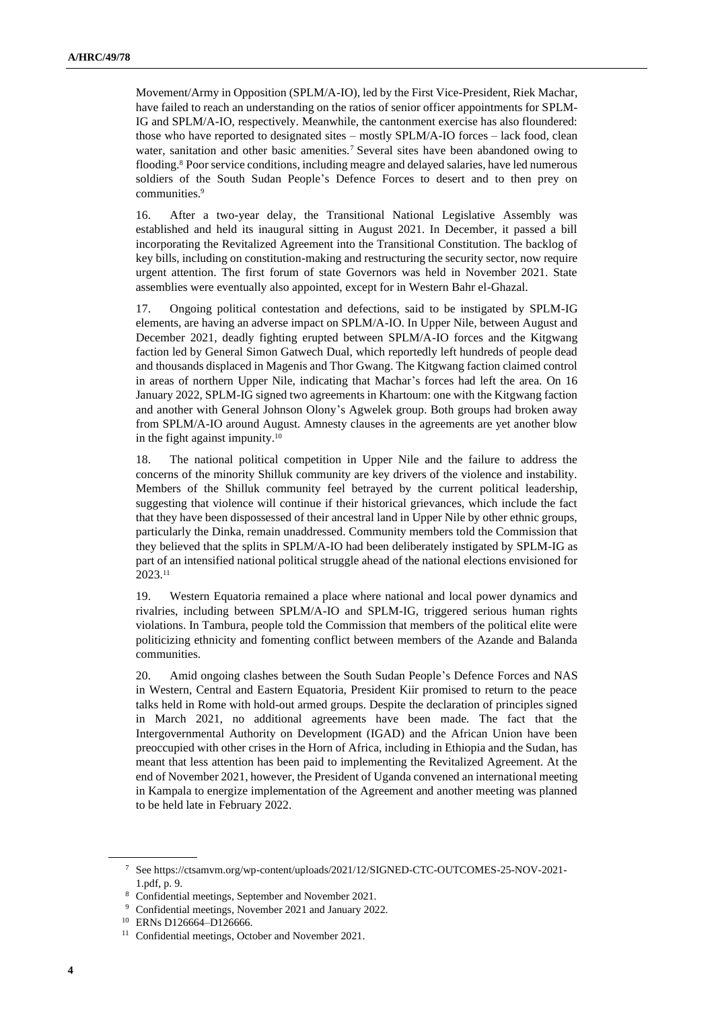Movement/Army in Opposition (SPLM/A-IO), led by the First Vice-President, Riek Machar, have failed to reach an understanding on the ratios of senior officer appointments for SPLM-IG and SPLM/A-IO, respectively. Meanwhile, the cantonment exercise has also floundered: those who have reported to designated sites – mostly SPLM/A-IO forces – lack food, clean water, sanitation and other basic amenities.<sup>7</sup> Several sites have been abandoned owing to flooding.<sup>8</sup> Poor service conditions, including meagre and delayed salaries, have led numerous soldiers of the South Sudan People's Defence Forces to desert and to then prey on communities.<sup>9</sup>

16. After a two-year delay, the Transitional National Legislative Assembly was established and held its inaugural sitting in August 2021. In December, it passed a bill incorporating the Revitalized Agreement into the Transitional Constitution. The backlog of key bills, including on constitution-making and restructuring the security sector, now require urgent attention. The first forum of state Governors was held in November 2021. State assemblies were eventually also appointed, except for in Western Bahr el-Ghazal.

17. Ongoing political contestation and defections, said to be instigated by SPLM-IG elements, are having an adverse impact on SPLM/A-IO. In Upper Nile, between August and December 2021, deadly fighting erupted between SPLM/A-IO forces and the Kitgwang faction led by General Simon Gatwech Dual, which reportedly left hundreds of people dead and thousands displaced in Magenis and Thor Gwang. The Kitgwang faction claimed control in areas of northern Upper Nile, indicating that Machar's forces had left the area. On 16 January 2022, SPLM-IG signed two agreements in Khartoum: one with the Kitgwang faction and another with General Johnson Olony's Agwelek group. Both groups had broken away from SPLM/A-IO around August. Amnesty clauses in the agreements are yet another blow in the fight against impunity.<sup>10</sup>

18. The national political competition in Upper Nile and the failure to address the concerns of the minority Shilluk community are key drivers of the violence and instability. Members of the Shilluk community feel betrayed by the current political leadership, suggesting that violence will continue if their historical grievances, which include the fact that they have been dispossessed of their ancestral land in Upper Nile by other ethnic groups, particularly the Dinka, remain unaddressed. Community members told the Commission that they believed that the splits in SPLM/A-IO had been deliberately instigated by SPLM-IG as part of an intensified national political struggle ahead of the national elections envisioned for 2023.<sup>11</sup>

19. Western Equatoria remained a place where national and local power dynamics and rivalries, including between SPLM/A-IO and SPLM-IG, triggered serious human rights violations. In Tambura, people told the Commission that members of the political elite were politicizing ethnicity and fomenting conflict between members of the Azande and Balanda communities.

20. Amid ongoing clashes between the South Sudan People's Defence Forces and NAS in Western, Central and Eastern Equatoria, President Kiir promised to return to the peace talks held in Rome with hold-out armed groups. Despite the declaration of principles signed in March 2021, no additional agreements have been made. The fact that the Intergovernmental Authority on Development (IGAD) and the African Union have been preoccupied with other crises in the Horn of Africa, including in Ethiopia and the Sudan, has meant that less attention has been paid to implementing the Revitalized Agreement. At the end of November 2021, however, the President of Uganda convened an international meeting in Kampala to energize implementation of the Agreement and another meeting was planned to be held late in February 2022.

<sup>7</sup> See https://ctsamvm.org/wp-content/uploads/2021/12/SIGNED-CTC-OUTCOMES-25-NOV-2021- 1.pdf, p. 9.

<sup>8</sup> Confidential meetings, September and November 2021.

<sup>9</sup> Confidential meetings, November 2021 and January 2022.

<sup>10</sup> ERNs D126664–D126666.

<sup>&</sup>lt;sup>11</sup> Confidential meetings, October and November 2021.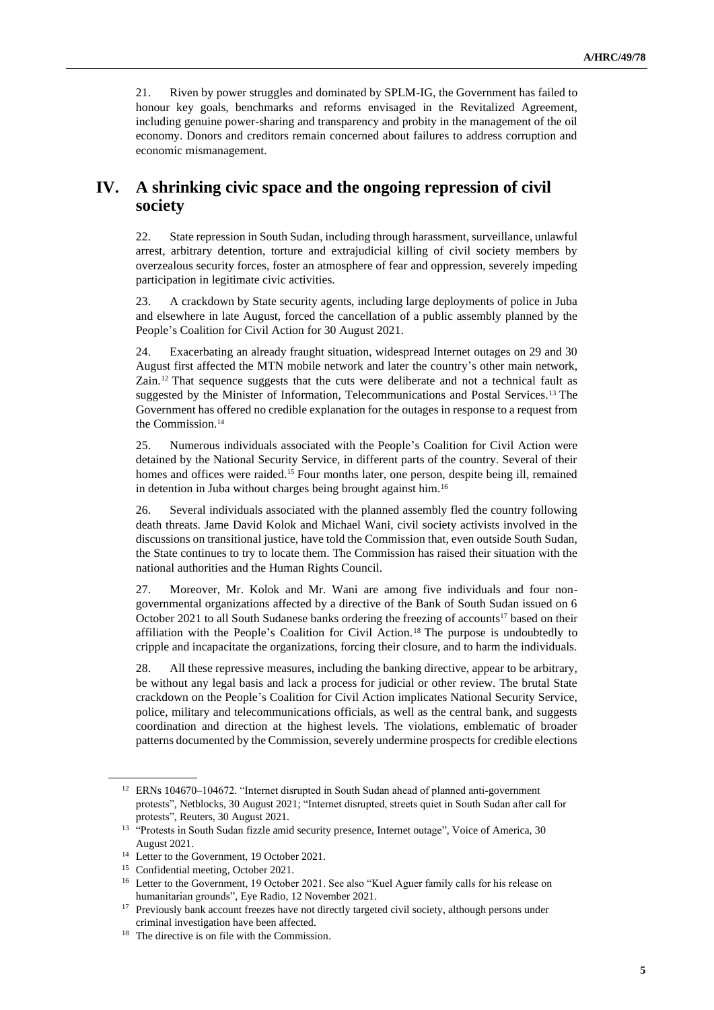21. Riven by power struggles and dominated by SPLM-IG, the Government has failed to honour key goals, benchmarks and reforms envisaged in the Revitalized Agreement, including genuine power-sharing and transparency and probity in the management of the oil economy. Donors and creditors remain concerned about failures to address corruption and economic mismanagement.

## **IV. A shrinking civic space and the ongoing repression of civil society**

22. State repression in South Sudan, including through harassment, surveillance, unlawful arrest, arbitrary detention, torture and extrajudicial killing of civil society members by overzealous security forces, foster an atmosphere of fear and oppression, severely impeding participation in legitimate civic activities.

23. A crackdown by State security agents, including large deployments of police in Juba and elsewhere in late August, forced the cancellation of a public assembly planned by the People's Coalition for Civil Action for 30 August 2021.

24. Exacerbating an already fraught situation, widespread Internet outages on 29 and 30 August first affected the MTN mobile network and later the country's other main network, Zain.<sup>12</sup> That sequence suggests that the cuts were deliberate and not a technical fault as suggested by the Minister of Information, Telecommunications and Postal Services.<sup>13</sup> The Government has offered no credible explanation for the outages in response to a request from the Commission.<sup>14</sup>

25. Numerous individuals associated with the People's Coalition for Civil Action were detained by the National Security Service, in different parts of the country. Several of their homes and offices were raided.<sup>15</sup> Four months later, one person, despite being ill, remained in detention in Juba without charges being brought against him.<sup>16</sup>

26. Several individuals associated with the planned assembly fled the country following death threats. Jame David Kolok and Michael Wani, civil society activists involved in the discussions on transitional justice, have told the Commission that, even outside South Sudan, the State continues to try to locate them. The Commission has raised their situation with the national authorities and the Human Rights Council.

27. Moreover, Mr. Kolok and Mr. Wani are among five individuals and four nongovernmental organizations affected by a directive of the Bank of South Sudan issued on 6 October 2021 to all South Sudanese banks ordering the freezing of accounts<sup>17</sup> based on their affiliation with the People's Coalition for Civil Action.<sup>18</sup> The purpose is undoubtedly to cripple and incapacitate the organizations, forcing their closure, and to harm the individuals.

28. All these repressive measures, including the banking directive, appear to be arbitrary, be without any legal basis and lack a process for judicial or other review. The brutal State crackdown on the People's Coalition for Civil Action implicates National Security Service, police, military and telecommunications officials, as well as the central bank, and suggests coordination and direction at the highest levels. The violations, emblematic of broader patterns documented by the Commission, severely undermine prospects for credible elections

<sup>&</sup>lt;sup>12</sup> ERNs 104670–104672. "Internet disrupted in South Sudan ahead of planned anti-government protests", Netblocks, 30 August 2021; "Internet disrupted, streets quiet in South Sudan after call for protests", Reuters, 30 August 2021.

<sup>&</sup>lt;sup>13</sup> "Protests in South Sudan fizzle amid security presence, Internet outage", Voice of America, 30 August 2021.

<sup>14</sup> Letter to the Government, 19 October 2021.

<sup>15</sup> Confidential meeting, October 2021.

<sup>&</sup>lt;sup>16</sup> Letter to the Government, 19 October 2021. See also "Kuel Aguer family calls for his release on humanitarian grounds", Eye Radio, 12 November 2021.

<sup>&</sup>lt;sup>17</sup> Previously bank account freezes have not directly targeted civil society, although persons under criminal investigation have been affected.

<sup>&</sup>lt;sup>18</sup> The directive is on file with the Commission.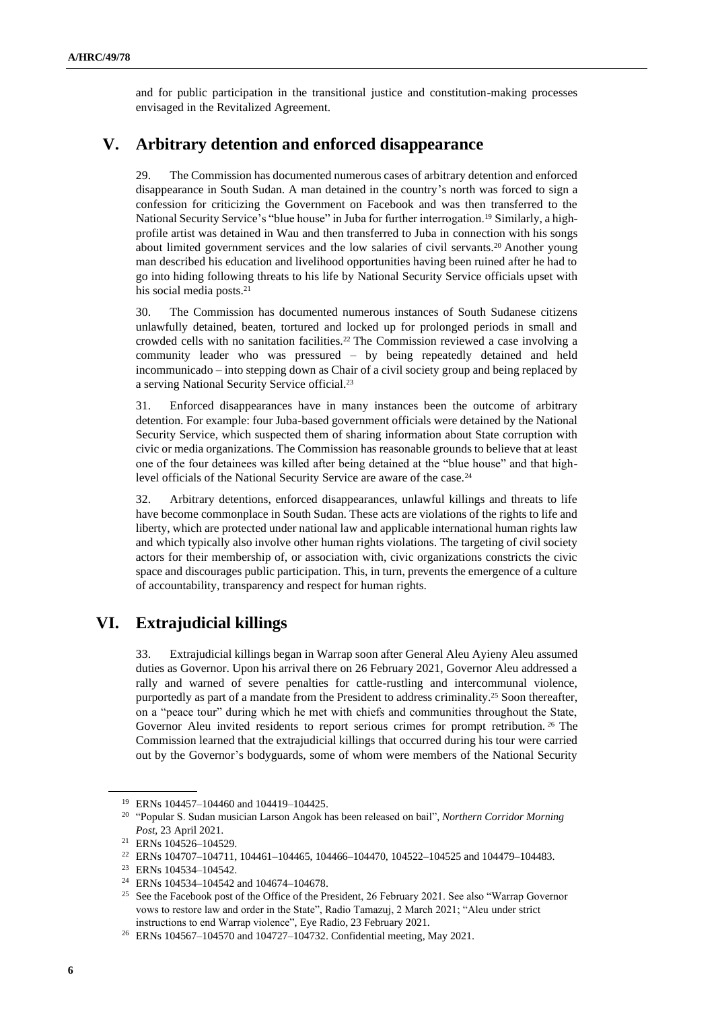and for public participation in the transitional justice and constitution-making processes envisaged in the Revitalized Agreement.

## **V. Arbitrary detention and enforced disappearance**

29. The Commission has documented numerous cases of arbitrary detention and enforced disappearance in South Sudan. A man detained in the country's north was forced to sign a confession for criticizing the Government on Facebook and was then transferred to the National Security Service's "blue house" in Juba for further interrogation.<sup>19</sup> Similarly, a highprofile artist was detained in Wau and then transferred to Juba in connection with his songs about limited government services and the low salaries of civil servants.<sup>20</sup> Another young man described his education and livelihood opportunities having been ruined after he had to go into hiding following threats to his life by National Security Service officials upset with his social media posts.<sup>21</sup>

30. The Commission has documented numerous instances of South Sudanese citizens unlawfully detained, beaten, tortured and locked up for prolonged periods in small and crowded cells with no sanitation facilities.<sup>22</sup> The Commission reviewed a case involving a community leader who was pressured – by being repeatedly detained and held incommunicado – into stepping down as Chair of a civil society group and being replaced by a serving National Security Service official.<sup>23</sup>

31. Enforced disappearances have in many instances been the outcome of arbitrary detention. For example: four Juba-based government officials were detained by the National Security Service, which suspected them of sharing information about State corruption with civic or media organizations. The Commission has reasonable grounds to believe that at least one of the four detainees was killed after being detained at the "blue house" and that highlevel officials of the National Security Service are aware of the case.<sup>24</sup>

32. Arbitrary detentions, enforced disappearances, unlawful killings and threats to life have become commonplace in South Sudan. These acts are violations of the rights to life and liberty, which are protected under national law and applicable international human rights law and which typically also involve other human rights violations. The targeting of civil society actors for their membership of, or association with, civic organizations constricts the civic space and discourages public participation. This, in turn, prevents the emergence of a culture of accountability, transparency and respect for human rights.

# **VI. Extrajudicial killings**

33. Extrajudicial killings began in Warrap soon after General Aleu Ayieny Aleu assumed duties as Governor. Upon his arrival there on 26 February 2021, Governor Aleu addressed a rally and warned of severe penalties for cattle-rustling and intercommunal violence, purportedly as part of a mandate from the President to address criminality.<sup>25</sup> Soon thereafter, on a "peace tour" during which he met with chiefs and communities throughout the State, Governor Aleu invited residents to report serious crimes for prompt retribution. <sup>26</sup> The Commission learned that the extrajudicial killings that occurred during his tour were carried out by the Governor's bodyguards, some of whom were members of the National Security

<sup>19</sup> ERNs 104457–104460 and 104419–104425.

<sup>20</sup> "Popular S. Sudan musician Larson Angok has been released on bail", *Northern Corridor Morning Post*, 23 April 2021.

<sup>21</sup> ERNs 104526–104529.

<sup>22</sup> ERNs 104707–104711, 104461–104465, 104466–104470, 104522–104525 and 104479–104483.

<sup>23</sup> ERNs 104534–104542.

<sup>24</sup> ERNs 104534–104542 and 104674–104678.

<sup>&</sup>lt;sup>25</sup> See the Facebook post of the Office of the President, 26 February 2021. See also "Warrap Governor vows to restore law and order in the State", Radio Tamazuj, 2 March 2021; "Aleu under strict instructions to end Warrap violence", Eye Radio, 23 February 2021.

<sup>26</sup> ERNs 104567–104570 and 104727–104732. Confidential meeting, May 2021.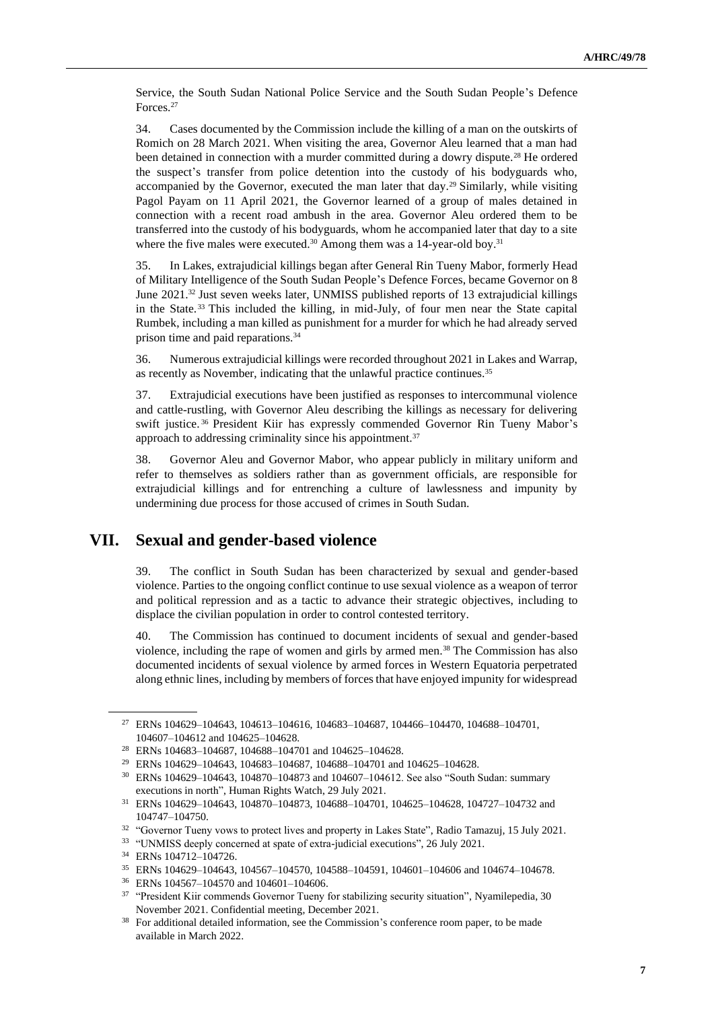Service, the South Sudan National Police Service and the South Sudan People's Defence Forces.<sup>27</sup>

34. Cases documented by the Commission include the killing of a man on the outskirts of Romich on 28 March 2021. When visiting the area, Governor Aleu learned that a man had been detained in connection with a murder committed during a dowry dispute.<sup>28</sup> He ordered the suspect's transfer from police detention into the custody of his bodyguards who, accompanied by the Governor, executed the man later that day.<sup>29</sup> Similarly, while visiting Pagol Payam on 11 April 2021, the Governor learned of a group of males detained in connection with a recent road ambush in the area. Governor Aleu ordered them to be transferred into the custody of his bodyguards, whom he accompanied later that day to a site where the five males were executed.<sup>30</sup> Among them was a 14-year-old boy.<sup>31</sup>

35. In Lakes, extrajudicial killings began after General Rin Tueny Mabor, formerly Head of Military Intelligence of the South Sudan People's Defence Forces, became Governor on 8 June 2021.<sup>32</sup> Just seven weeks later, UNMISS published reports of 13 extrajudicial killings in the State. <sup>33</sup> This included the killing, in mid-July, of four men near the State capital Rumbek, including a man killed as punishment for a murder for which he had already served prison time and paid reparations.<sup>34</sup>

36. Numerous extrajudicial killings were recorded throughout 2021 in Lakes and Warrap, as recently as November, indicating that the unlawful practice continues.<sup>35</sup>

37. Extrajudicial executions have been justified as responses to intercommunal violence and cattle-rustling, with Governor Aleu describing the killings as necessary for delivering swift justice. <sup>36</sup> President Kiir has expressly commended Governor Rin Tueny Mabor's approach to addressing criminality since his appointment.<sup>37</sup>

38. Governor Aleu and Governor Mabor, who appear publicly in military uniform and refer to themselves as soldiers rather than as government officials, are responsible for extrajudicial killings and for entrenching a culture of lawlessness and impunity by undermining due process for those accused of crimes in South Sudan.

# **VII. Sexual and gender-based violence**

39. The conflict in South Sudan has been characterized by sexual and gender-based violence. Parties to the ongoing conflict continue to use sexual violence as a weapon of terror and political repression and as a tactic to advance their strategic objectives, including to displace the civilian population in order to control contested territory.

40. The Commission has continued to document incidents of sexual and gender-based violence, including the rape of women and girls by armed men.<sup>38</sup> The Commission has also documented incidents of sexual violence by armed forces in Western Equatoria perpetrated along ethnic lines, including by members of forces that have enjoyed impunity for widespread

<sup>27</sup> ERNs 104629–104643, 104613–104616, 104683–104687, 104466–104470, 104688–104701, 104607–104612 and 104625–104628.

<sup>28</sup> ERNs 104683–104687, 104688–104701 and 104625–104628.

<sup>29</sup> ERNs 104629–104643, 104683–104687, 104688–104701 and 104625–104628.

<sup>30</sup> ERNs 104629–104643, 104870–104873 and 104607–104612. See also "South Sudan: summary executions in north", Human Rights Watch, 29 July 2021.

<sup>31</sup> ERNs 104629–104643, 104870–104873, 104688–104701, 104625–104628, 104727–104732 and 104747–104750.

<sup>&</sup>lt;sup>32</sup> "Governor Tueny vows to protect lives and property in Lakes State", Radio Tamazuj, 15 July 2021.

<sup>&</sup>lt;sup>33</sup> "UNMISS deeply concerned at spate of extra-judicial executions", 26 July 2021.

<sup>34</sup> ERNs 104712–104726.

<sup>35</sup> ERNs 104629–104643, 104567–104570, 104588–104591, 104601–104606 and 104674–104678.

<sup>36</sup> ERNs 104567–104570 and 104601–104606.

<sup>&</sup>lt;sup>37</sup> "President Kiir commends Governor Tueny for stabilizing security situation", Nyamilepedia, 30 November 2021. Confidential meeting, December 2021.

<sup>&</sup>lt;sup>38</sup> For additional detailed information, see the Commission's conference room paper, to be made available in March 2022.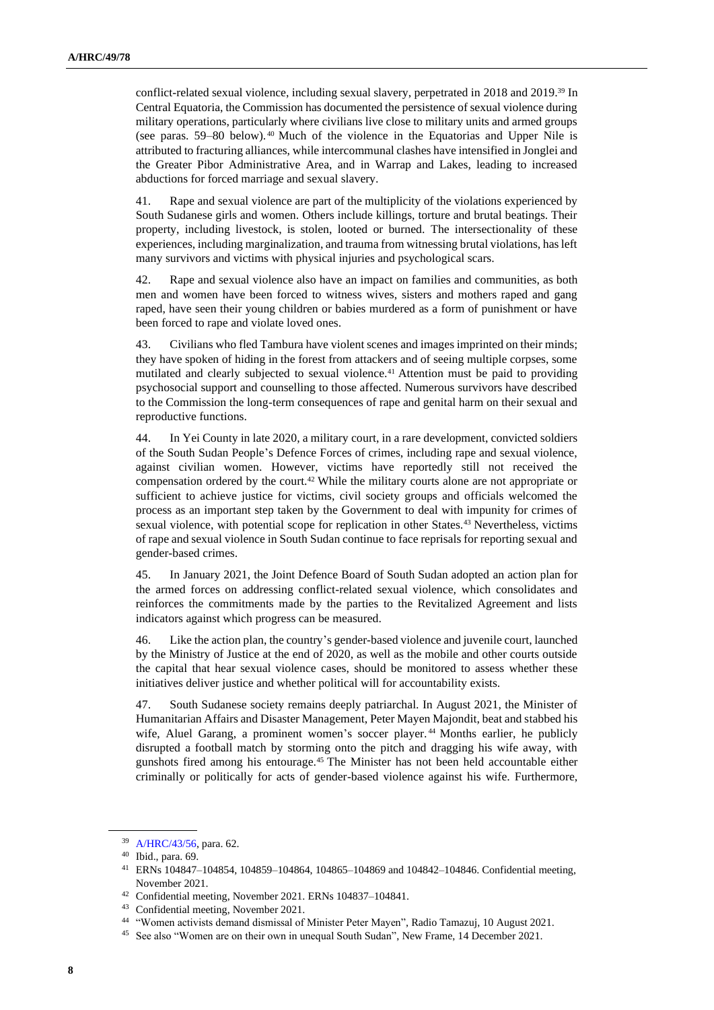conflict-related sexual violence, including sexual slavery, perpetrated in 2018 and 2019.<sup>39</sup> In Central Equatoria, the Commission has documented the persistence of sexual violence during military operations, particularly where civilians live close to military units and armed groups (see paras. 59–80 below). <sup>40</sup> Much of the violence in the Equatorias and Upper Nile is attributed to fracturing alliances, while intercommunal clashes have intensified in Jonglei and the Greater Pibor Administrative Area, and in Warrap and Lakes, leading to increased abductions for forced marriage and sexual slavery.

41. Rape and sexual violence are part of the multiplicity of the violations experienced by South Sudanese girls and women. Others include killings, torture and brutal beatings. Their property, including livestock, is stolen, looted or burned. The intersectionality of these experiences, including marginalization, and trauma from witnessing brutal violations, has left many survivors and victims with physical injuries and psychological scars.

42. Rape and sexual violence also have an impact on families and communities, as both men and women have been forced to witness wives, sisters and mothers raped and gang raped, have seen their young children or babies murdered as a form of punishment or have been forced to rape and violate loved ones.

43. Civilians who fled Tambura have violent scenes and images imprinted on their minds; they have spoken of hiding in the forest from attackers and of seeing multiple corpses, some mutilated and clearly subjected to sexual violence.<sup>41</sup> Attention must be paid to providing psychosocial support and counselling to those affected. Numerous survivors have described to the Commission the long-term consequences of rape and genital harm on their sexual and reproductive functions.

44. In Yei County in late 2020, a military court, in a rare development, convicted soldiers of the South Sudan People's Defence Forces of crimes, including rape and sexual violence, against civilian women. However, victims have reportedly still not received the compensation ordered by the court.<sup>42</sup> While the military courts alone are not appropriate or sufficient to achieve justice for victims, civil society groups and officials welcomed the process as an important step taken by the Government to deal with impunity for crimes of sexual violence, with potential scope for replication in other States.<sup>43</sup> Nevertheless, victims of rape and sexual violence in South Sudan continue to face reprisals for reporting sexual and gender-based crimes.

45. In January 2021, the Joint Defence Board of South Sudan adopted an action plan for the armed forces on addressing conflict-related sexual violence, which consolidates and reinforces the commitments made by the parties to the Revitalized Agreement and lists indicators against which progress can be measured.

46. Like the action plan, the country's gender-based violence and juvenile court, launched by the Ministry of Justice at the end of 2020, as well as the mobile and other courts outside the capital that hear sexual violence cases, should be monitored to assess whether these initiatives deliver justice and whether political will for accountability exists.

47. South Sudanese society remains deeply patriarchal. In August 2021, the Minister of Humanitarian Affairs and Disaster Management, Peter Mayen Majondit, beat and stabbed his wife, Aluel Garang, a prominent women's soccer player. <sup>44</sup> Months earlier, he publicly disrupted a football match by storming onto the pitch and dragging his wife away, with gunshots fired among his entourage.<sup>45</sup> The Minister has not been held accountable either criminally or politically for acts of gender-based violence against his wife. Furthermore,

<sup>39</sup> [A/HRC/43/56,](http://undocs.org/en/A/HRC/43/56) para. 62.

<sup>40</sup> Ibid., para. 69.

<sup>41</sup> ERNs 104847–104854, 104859–104864, 104865–104869 and 104842–104846. Confidential meeting, November 2021.

<sup>42</sup> Confidential meeting, November 2021. ERNs 104837–104841.

<sup>43</sup> Confidential meeting, November 2021.

<sup>44</sup> "Women activists demand dismissal of Minister Peter Mayen", Radio Tamazuj, 10 August 2021.

<sup>45</sup> See also "Women are on their own in unequal South Sudan", New Frame, 14 December 2021.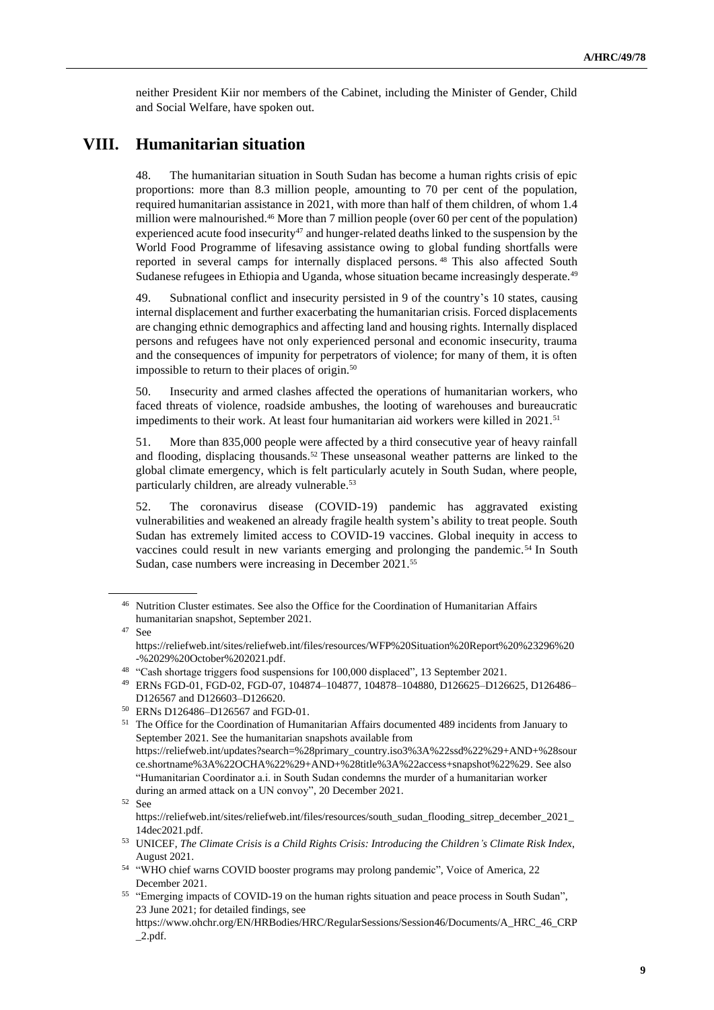neither President Kiir nor members of the Cabinet, including the Minister of Gender, Child and Social Welfare, have spoken out.

## **VIII. Humanitarian situation**

48. The humanitarian situation in South Sudan has become a human rights crisis of epic proportions: more than 8.3 million people, amounting to 70 per cent of the population, required humanitarian assistance in 2021, with more than half of them children, of whom 1.4 million were malnourished.<sup>46</sup> More than 7 million people (over 60 per cent of the population) experienced acute food insecurity<sup>47</sup> and hunger-related deaths linked to the suspension by the World Food Programme of lifesaving assistance owing to global funding shortfalls were reported in several camps for internally displaced persons. <sup>48</sup> This also affected South Sudanese refugees in Ethiopia and Uganda, whose situation became increasingly desperate.<sup>49</sup>

49. Subnational conflict and insecurity persisted in 9 of the country's 10 states, causing internal displacement and further exacerbating the humanitarian crisis. Forced displacements are changing ethnic demographics and affecting land and housing rights. Internally displaced persons and refugees have not only experienced personal and economic insecurity, trauma and the consequences of impunity for perpetrators of violence; for many of them, it is often impossible to return to their places of origin.<sup>50</sup>

50. Insecurity and armed clashes affected the operations of humanitarian workers, who faced threats of violence, roadside ambushes, the looting of warehouses and bureaucratic impediments to their work. At least four humanitarian aid workers were killed in  $2021$ .<sup>51</sup>

51. More than 835,000 people were affected by a third consecutive year of heavy rainfall and flooding, displacing thousands.<sup>52</sup> These unseasonal weather patterns are linked to the global climate emergency, which is felt particularly acutely in South Sudan, where people, particularly children, are already vulnerable.<sup>53</sup>

52. The coronavirus disease (COVID-19) pandemic has aggravated existing vulnerabilities and weakened an already fragile health system's ability to treat people. South Sudan has extremely limited access to COVID-19 vaccines. Global inequity in access to vaccines could result in new variants emerging and prolonging the pandemic.<sup>54</sup> In South Sudan, case numbers were increasing in December 2021.<sup>55</sup>

<sup>46</sup> Nutrition Cluster estimates. See also the Office for the Coordination of Humanitarian Affairs humanitarian snapshot, September 2021.

<sup>47</sup> See https://reliefweb.int/sites/reliefweb.int/files/resources/WFP%20Situation%20Report%20%23296%20 -%2029%20October%202021.pdf.

<sup>48</sup> "Cash shortage triggers food suspensions for 100,000 displaced", 13 September 2021.

<sup>49</sup> ERNs FGD-01, FGD-02, FGD-07, 104874–104877, 104878–104880, D126625–D126625, D126486– D126567 and D126603–D126620.

<sup>50</sup> ERNs D126486–D126567 and FGD-01.

<sup>&</sup>lt;sup>51</sup> The Office for the Coordination of Humanitarian Affairs documented 489 incidents from January to September 2021. See the humanitarian snapshots available from https://reliefweb.int/updates?search=%28primary\_country.iso3%3A%22ssd%22%29+AND+%28sour ce.shortname%3A%22OCHA%22%29+AND+%28title%3A%22access+snapshot%22%29. See also "Humanitarian Coordinator a.i. in South Sudan condemns the murder of a humanitarian worker during an armed attack on a UN convoy", 20 December 2021.

<sup>52</sup> See

https://reliefweb.int/sites/reliefweb.int/files/resources/south\_sudan\_flooding\_sitrep\_december\_2021\_ 14dec2021.pdf.

<sup>53</sup> UNICEF, *The Climate Crisis is a Child Rights Crisis: Introducing the Children's Climate Risk Index*, August 2021.

<sup>54</sup> "WHO chief warns COVID booster programs may prolong pandemic", Voice of America, 22 December 2021.

<sup>55</sup> "Emerging impacts of COVID-19 on the human rights situation and peace process in South Sudan", 23 June 2021; for detailed findings, see

https://www.ohchr.org/EN/HRBodies/HRC/RegularSessions/Session46/Documents/A\_HRC\_46\_CRP  $_2$ .pdf.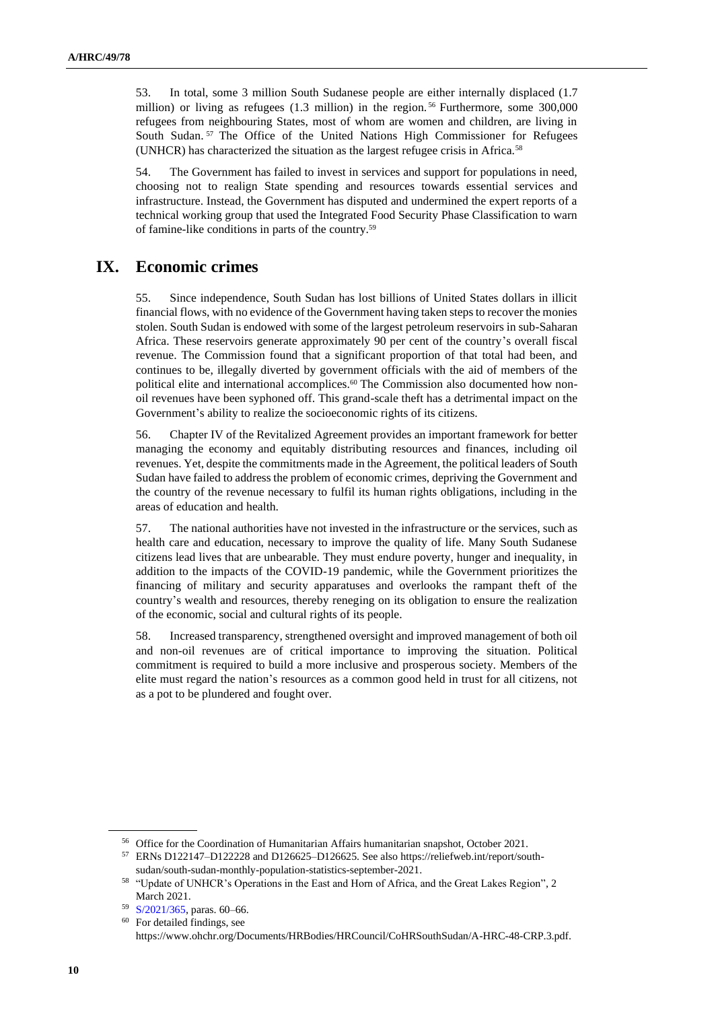53. In total, some 3 million South Sudanese people are either internally displaced (1.7 million) or living as refugees (1.3 million) in the region.<sup>56</sup> Furthermore, some 300,000 refugees from neighbouring States, most of whom are women and children, are living in South Sudan.<sup>57</sup> The Office of the United Nations High Commissioner for Refugees (UNHCR) has characterized the situation as the largest refugee crisis in Africa.<sup>58</sup>

54. The Government has failed to invest in services and support for populations in need, choosing not to realign State spending and resources towards essential services and infrastructure. Instead, the Government has disputed and undermined the expert reports of a technical working group that used the Integrated Food Security Phase Classification to warn of famine-like conditions in parts of the country.<sup>59</sup>

### **IX. Economic crimes**

55. Since independence, South Sudan has lost billions of United States dollars in illicit financial flows, with no evidence of the Government having taken steps to recover the monies stolen. South Sudan is endowed with some of the largest petroleum reservoirs in sub-Saharan Africa. These reservoirs generate approximately 90 per cent of the country's overall fiscal revenue. The Commission found that a significant proportion of that total had been, and continues to be, illegally diverted by government officials with the aid of members of the political elite and international accomplices.<sup>60</sup> The Commission also documented how nonoil revenues have been syphoned off. This grand-scale theft has a detrimental impact on the Government's ability to realize the socioeconomic rights of its citizens.

56. Chapter IV of the Revitalized Agreement provides an important framework for better managing the economy and equitably distributing resources and finances, including oil revenues. Yet, despite the commitments made in the Agreement, the political leaders of South Sudan have failed to address the problem of economic crimes, depriving the Government and the country of the revenue necessary to fulfil its human rights obligations, including in the areas of education and health.

57. The national authorities have not invested in the infrastructure or the services, such as health care and education, necessary to improve the quality of life. Many South Sudanese citizens lead lives that are unbearable. They must endure poverty, hunger and inequality, in addition to the impacts of the COVID-19 pandemic, while the Government prioritizes the financing of military and security apparatuses and overlooks the rampant theft of the country's wealth and resources, thereby reneging on its obligation to ensure the realization of the economic, social and cultural rights of its people.

58. Increased transparency, strengthened oversight and improved management of both oil and non-oil revenues are of critical importance to improving the situation. Political commitment is required to build a more inclusive and prosperous society. Members of the elite must regard the nation's resources as a common good held in trust for all citizens, not as a pot to be plundered and fought over.

<sup>56</sup> Office for the Coordination of Humanitarian Affairs humanitarian snapshot, October 2021.

<sup>57</sup> ERNs D122147–D122228 and D126625–D126625. See also https://reliefweb.int/report/southsudan/south-sudan-monthly-population-statistics-september-2021.

<sup>58</sup> "Update of UNHCR's Operations in the East and Horn of Africa, and the Great Lakes Region", 2 March 2021.

<sup>59</sup> [S/2021/365,](http://undocs.org/en/S/2021/365) paras. 60–66.

<sup>60</sup> For detailed findings, see https://www.ohchr.org/Documents/HRBodies/HRCouncil/CoHRSouthSudan/A-HRC-48-CRP.3.pdf.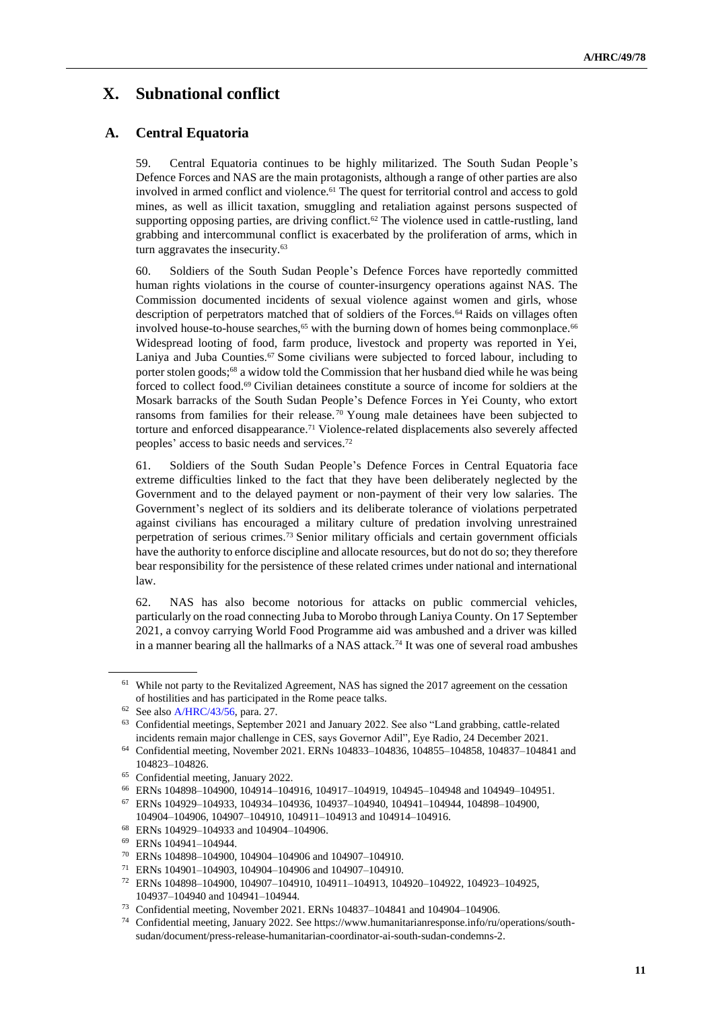# **X. Subnational conflict**

## **A. Central Equatoria**

59. Central Equatoria continues to be highly militarized. The South Sudan People's Defence Forces and NAS are the main protagonists, although a range of other parties are also involved in armed conflict and violence.<sup>61</sup> The quest for territorial control and access to gold mines, as well as illicit taxation, smuggling and retaliation against persons suspected of supporting opposing parties, are driving conflict.<sup>62</sup> The violence used in cattle-rustling, land grabbing and intercommunal conflict is exacerbated by the proliferation of arms, which in turn aggravates the insecurity.<sup>63</sup>

60. Soldiers of the South Sudan People's Defence Forces have reportedly committed human rights violations in the course of counter-insurgency operations against NAS. The Commission documented incidents of sexual violence against women and girls, whose description of perpetrators matched that of soldiers of the Forces.<sup>64</sup> Raids on villages often involved house-to-house searches,<sup>65</sup> with the burning down of homes being commonplace.<sup>66</sup> Widespread looting of food, farm produce, livestock and property was reported in Yei, Laniya and Juba Counties.<sup>67</sup> Some civilians were subjected to forced labour, including to porter stolen goods;<sup>68</sup> a widow told the Commission that her husband died while he was being forced to collect food.<sup>69</sup> Civilian detainees constitute a source of income for soldiers at the Mosark barracks of the South Sudan People's Defence Forces in Yei County, who extort ransoms from families for their release. <sup>70</sup> Young male detainees have been subjected to torture and enforced disappearance.<sup>71</sup> Violence-related displacements also severely affected peoples' access to basic needs and services.<sup>72</sup>

61. Soldiers of the South Sudan People's Defence Forces in Central Equatoria face extreme difficulties linked to the fact that they have been deliberately neglected by the Government and to the delayed payment or non-payment of their very low salaries. The Government's neglect of its soldiers and its deliberate tolerance of violations perpetrated against civilians has encouraged a military culture of predation involving unrestrained perpetration of serious crimes.<sup>73</sup> Senior military officials and certain government officials have the authority to enforce discipline and allocate resources, but do not do so; they therefore bear responsibility for the persistence of these related crimes under national and international law.

62. NAS has also become notorious for attacks on public commercial vehicles, particularly on the road connecting Juba to Morobo through Laniya County. On 17 September 2021, a convoy carrying World Food Programme aid was ambushed and a driver was killed in a manner bearing all the hallmarks of a NAS attack.<sup>74</sup> It was one of several road ambushes

<sup>71</sup> ERNs 104901–104903, 104904–104906 and 104907–104910.

<sup>61</sup> While not party to the Revitalized Agreement, NAS has signed the 2017 agreement on the cessation of hostilities and has participated in the Rome peace talks.

<sup>62</sup> See als[o A/HRC/43/56,](http://undocs.org/en/A/HRC/43/56) para. 27.

<sup>63</sup> Confidential meetings, September 2021 and January 2022. See also "Land grabbing, cattle-related incidents remain major challenge in CES, says Governor Adil", Eye Radio, 24 December 2021.

<sup>64</sup> Confidential meeting, November 2021. ERNs 104833–104836, 104855–104858, 104837–104841 and 104823–104826.

<sup>65</sup> Confidential meeting, January 2022.

<sup>66</sup> ERNs 104898–104900, 104914–104916, 104917–104919, 104945–104948 and 104949–104951.

<sup>67</sup> ERNs 104929–104933, 104934–104936, 104937–104940, 104941–104944, 104898–104900, 104904–104906, 104907–104910, 104911–104913 and 104914–104916.

<sup>68</sup> ERNs 104929–104933 and 104904–104906.

<sup>69</sup> ERNs 104941–104944.

<sup>70</sup> ERNs 104898–104900, 104904–104906 and 104907–104910.

<sup>72</sup> ERNs 104898–104900, 104907–104910, 104911–104913, 104920–104922, 104923–104925, 104937–104940 and 104941–104944.

<sup>73</sup> Confidential meeting, November 2021. ERNs 104837–104841 and 104904–104906.

<sup>74</sup> Confidential meeting, January 2022. See https://www.humanitarianresponse.info/ru/operations/southsudan/document/press-release-humanitarian-coordinator-ai-south-sudan-condemns-2.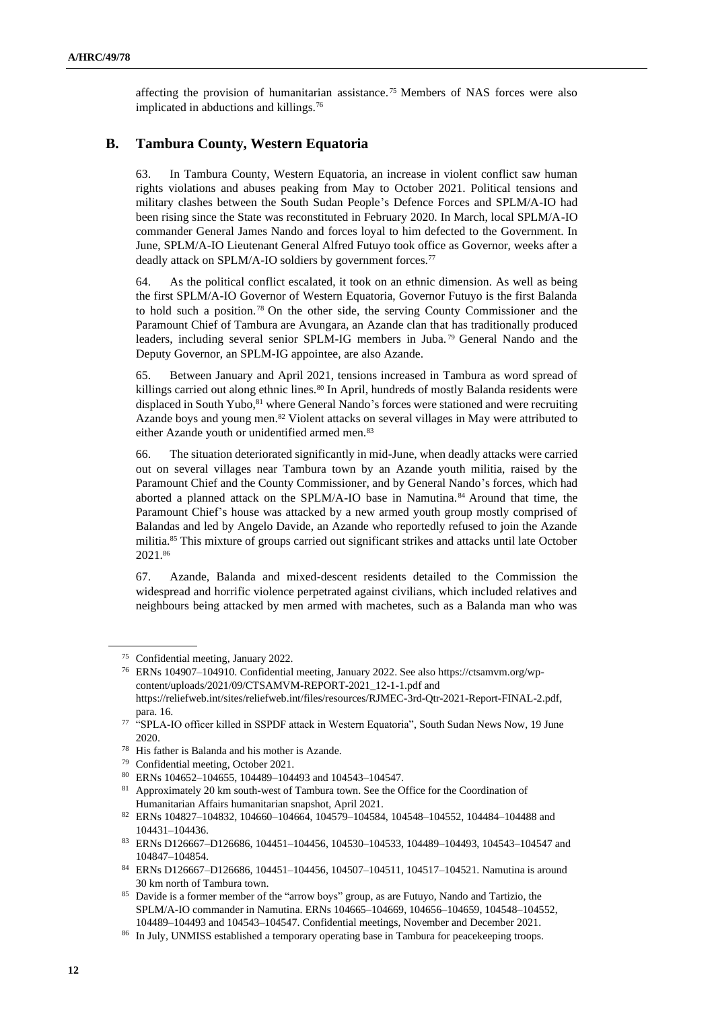affecting the provision of humanitarian assistance. <sup>75</sup> Members of NAS forces were also implicated in abductions and killings.<sup>76</sup>

#### **B. Tambura County, Western Equatoria**

63. In Tambura County, Western Equatoria, an increase in violent conflict saw human rights violations and abuses peaking from May to October 2021. Political tensions and military clashes between the South Sudan People's Defence Forces and SPLM/A-IO had been rising since the State was reconstituted in February 2020. In March, local SPLM/A-IO commander General James Nando and forces loyal to him defected to the Government. In June, SPLM/A-IO Lieutenant General Alfred Futuyo took office as Governor, weeks after a deadly attack on SPLM/A-IO soldiers by government forces.<sup>77</sup>

64. As the political conflict escalated, it took on an ethnic dimension. As well as being the first SPLM/A-IO Governor of Western Equatoria, Governor Futuyo is the first Balanda to hold such a position. <sup>78</sup> On the other side, the serving County Commissioner and the Paramount Chief of Tambura are Avungara, an Azande clan that has traditionally produced leaders, including several senior SPLM-IG members in Juba. <sup>79</sup> General Nando and the Deputy Governor, an SPLM-IG appointee, are also Azande.

65. Between January and April 2021, tensions increased in Tambura as word spread of killings carried out along ethnic lines.<sup>80</sup> In April, hundreds of mostly Balanda residents were displaced in South Yubo,<sup>81</sup> where General Nando's forces were stationed and were recruiting Azande boys and young men.<sup>82</sup> Violent attacks on several villages in May were attributed to either Azande youth or unidentified armed men.<sup>83</sup>

66. The situation deteriorated significantly in mid-June, when deadly attacks were carried out on several villages near Tambura town by an Azande youth militia, raised by the Paramount Chief and the County Commissioner, and by General Nando's forces, which had aborted a planned attack on the SPLM/A-IO base in Namutina.<sup>84</sup> Around that time, the Paramount Chief's house was attacked by a new armed youth group mostly comprised of Balandas and led by Angelo Davide, an Azande who reportedly refused to join the Azande militia.<sup>85</sup> This mixture of groups carried out significant strikes and attacks until late October 2021.<sup>86</sup>

67. Azande, Balanda and mixed-descent residents detailed to the Commission the widespread and horrific violence perpetrated against civilians, which included relatives and neighbours being attacked by men armed with machetes, such as a Balanda man who was

<sup>75</sup> Confidential meeting, January 2022.

<sup>76</sup> ERNs 104907–104910. Confidential meeting, January 2022. See also https://ctsamvm.org/wpcontent/uploads/2021/09/CTSAMVM-REPORT-2021\_12-1-1.pdf and https://reliefweb.int/sites/reliefweb.int/files/resources/RJMEC-3rd-Qtr-2021-Report-FINAL-2.pdf, para. 16.

<sup>&</sup>lt;sup>77</sup> "SPLA-IO officer killed in SSPDF attack in Western Equatoria", South Sudan News Now, 19 June 2020.

<sup>78</sup> His father is Balanda and his mother is Azande.

<sup>79</sup> Confidential meeting, October 2021.

<sup>80</sup> ERNs 104652–104655, 104489–104493 and 104543–104547.

<sup>&</sup>lt;sup>81</sup> Approximately 20 km south-west of Tambura town. See the Office for the Coordination of Humanitarian Affairs humanitarian snapshot, April 2021.

<sup>82</sup> ERNs 104827–104832, 104660–104664, 104579–104584, 104548–104552, 104484–104488 and 104431–104436.

<sup>83</sup> ERNs D126667–D126686, 104451–104456, 104530–104533, 104489–104493, 104543–104547 and 104847–104854.

<sup>84</sup> ERNs D126667–D126686, 104451–104456, 104507–104511, 104517–104521. Namutina is around 30 km north of Tambura town.

<sup>&</sup>lt;sup>85</sup> Davide is a former member of the "arrow boys" group, as are Futuyo, Nando and Tartizio, the SPLM/A-IO commander in Namutina. ERNs 104665–104669, 104656–104659, 104548–104552, 104489–104493 and 104543–104547. Confidential meetings, November and December 2021.

<sup>86</sup> In July, UNMISS established a temporary operating base in Tambura for peacekeeping troops.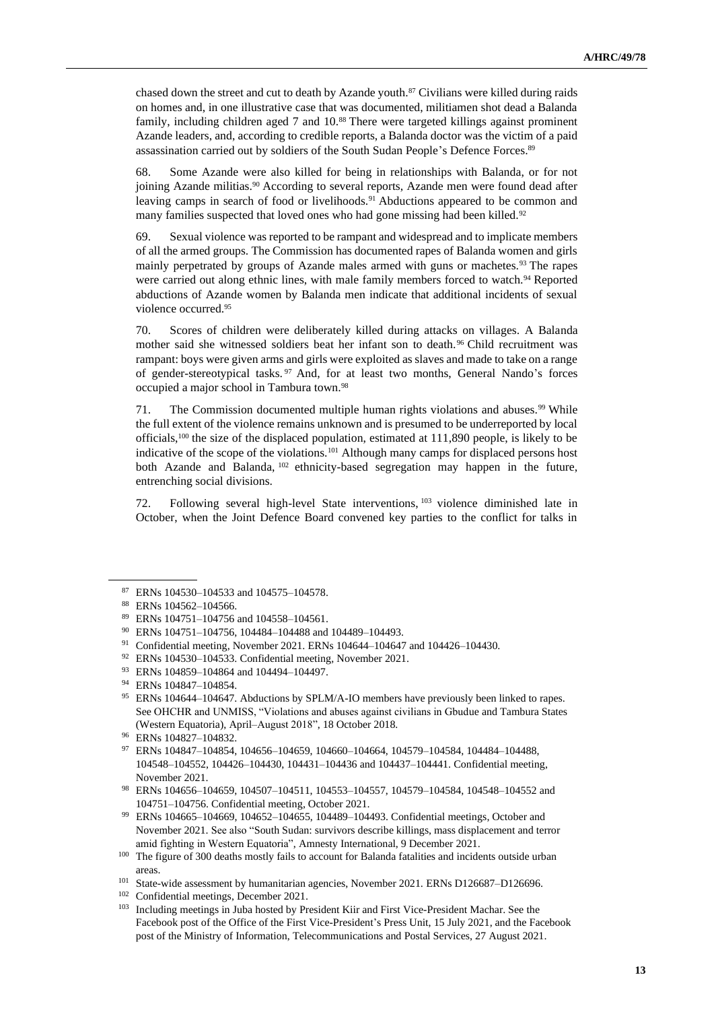chased down the street and cut to death by Azande youth.<sup>87</sup> Civilians were killed during raids on homes and, in one illustrative case that was documented, militiamen shot dead a Balanda family, including children aged 7 and 10.88 There were targeted killings against prominent Azande leaders, and, according to credible reports, a Balanda doctor was the victim of a paid assassination carried out by soldiers of the South Sudan People's Defence Forces.<sup>89</sup>

68. Some Azande were also killed for being in relationships with Balanda, or for not joining Azande militias.<sup>90</sup> According to several reports, Azande men were found dead after leaving camps in search of food or livelihoods.<sup>91</sup> Abductions appeared to be common and many families suspected that loved ones who had gone missing had been killed.<sup>92</sup>

69. Sexual violence was reported to be rampant and widespread and to implicate members of all the armed groups. The Commission has documented rapes of Balanda women and girls mainly perpetrated by groups of Azande males armed with guns or machetes.<sup>93</sup> The rapes were carried out along ethnic lines, with male family members forced to watch.<sup>94</sup> Reported abductions of Azande women by Balanda men indicate that additional incidents of sexual violence occurred.<sup>95</sup>

70. Scores of children were deliberately killed during attacks on villages. A Balanda mother said she witnessed soldiers beat her infant son to death.<sup>96</sup> Child recruitment was rampant: boys were given arms and girls were exploited as slaves and made to take on a range of gender-stereotypical tasks. <sup>97</sup> And, for at least two months, General Nando's forces occupied a major school in Tambura town.<sup>98</sup>

71. The Commission documented multiple human rights violations and abuses.<sup>99</sup> While the full extent of the violence remains unknown and is presumed to be underreported by local officials,<sup>100</sup> the size of the displaced population, estimated at 111,890 people, is likely to be indicative of the scope of the violations.<sup>101</sup> Although many camps for displaced persons host both Azande and Balanda, <sup>102</sup> ethnicity-based segregation may happen in the future, entrenching social divisions.

72. Following several high-level State interventions, <sup>103</sup> violence diminished late in October, when the Joint Defence Board convened key parties to the conflict for talks in

<sup>87</sup> ERNs 104530–104533 and 104575–104578.

<sup>88</sup> ERNs 104562–104566.

<sup>89</sup> ERNs 104751–104756 and 104558–104561.

<sup>90</sup> ERNs 104751–104756, 104484–104488 and 104489–104493.

<sup>&</sup>lt;sup>91</sup> Confidential meeting, November 2021. ERNs 104644-104647 and 104426-104430.

<sup>92</sup> ERNs 104530–104533. Confidential meeting, November 2021.

<sup>93</sup> ERNs 104859–104864 and 104494–104497.

<sup>94</sup> ERNs 104847–104854.

<sup>&</sup>lt;sup>95</sup> ERNs 104644–104647. Abductions by SPLM/A-IO members have previously been linked to rapes. See OHCHR and UNMISS, "Violations and abuses against civilians in Gbudue and Tambura States (Western Equatoria), April–August 2018", 18 October 2018.

<sup>96</sup> ERNs 104827–104832.

<sup>97</sup> ERNs 104847–104854, 104656–104659, 104660–104664, 104579–104584, 104484–104488, 104548–104552, 104426–104430, 104431–104436 and 104437–104441. Confidential meeting, November 2021.

<sup>98</sup> ERNs 104656–104659, 104507–104511, 104553–104557, 104579–104584, 104548–104552 and 104751–104756. Confidential meeting, October 2021.

<sup>99</sup> ERNs 104665–104669, 104652–104655, 104489–104493. Confidential meetings, October and November 2021. See also "South Sudan: survivors describe killings, mass displacement and terror amid fighting in Western Equatoria", Amnesty International, 9 December 2021.

<sup>&</sup>lt;sup>100</sup> The figure of 300 deaths mostly fails to account for Balanda fatalities and incidents outside urban areas.

<sup>101</sup> State-wide assessment by humanitarian agencies, November 2021. ERNs D126687–D126696.

<sup>102</sup> Confidential meetings, December 2021.

<sup>&</sup>lt;sup>103</sup> Including meetings in Juba hosted by President Kiir and First Vice-President Machar. See the Facebook post of the Office of the First Vice-President's Press Unit, 15 July 2021, and the Facebook post of the Ministry of Information, Telecommunications and Postal Services, 27 August 2021.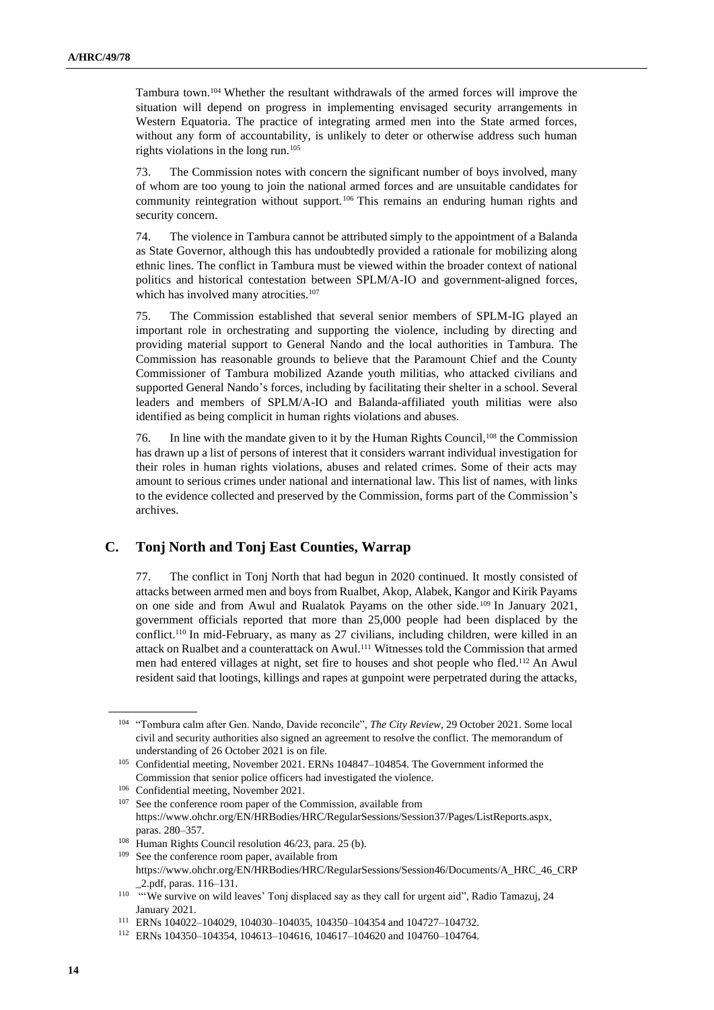Tambura town.<sup>104</sup> Whether the resultant withdrawals of the armed forces will improve the situation will depend on progress in implementing envisaged security arrangements in Western Equatoria. The practice of integrating armed men into the State armed forces, without any form of accountability, is unlikely to deter or otherwise address such human rights violations in the long run.<sup>105</sup>

73. The Commission notes with concern the significant number of boys involved, many of whom are too young to join the national armed forces and are unsuitable candidates for community reintegration without support.<sup>106</sup> This remains an enduring human rights and security concern.

74. The violence in Tambura cannot be attributed simply to the appointment of a Balanda as State Governor, although this has undoubtedly provided a rationale for mobilizing along ethnic lines. The conflict in Tambura must be viewed within the broader context of national politics and historical contestation between SPLM/A-IO and government-aligned forces, which has involved many atrocities.<sup>107</sup>

75. The Commission established that several senior members of SPLM-IG played an important role in orchestrating and supporting the violence, including by directing and providing material support to General Nando and the local authorities in Tambura. The Commission has reasonable grounds to believe that the Paramount Chief and the County Commissioner of Tambura mobilized Azande youth militias, who attacked civilians and supported General Nando's forces, including by facilitating their shelter in a school. Several leaders and members of SPLM/A-IO and Balanda-affiliated youth militias were also identified as being complicit in human rights violations and abuses.

76. In line with the mandate given to it by the Human Rights Council,<sup>108</sup> the Commission has drawn up a list of persons of interest that it considers warrant individual investigation for their roles in human rights violations, abuses and related crimes. Some of their acts may amount to serious crimes under national and international law. This list of names, with links to the evidence collected and preserved by the Commission, forms part of the Commission's archives.

#### **C. Tonj North and Tonj East Counties, Warrap**

77. The conflict in Tonj North that had begun in 2020 continued. It mostly consisted of attacks between armed men and boys from Rualbet, Akop, Alabek, Kangor and Kirik Payams on one side and from Awul and Rualatok Payams on the other side.<sup>109</sup> In January 2021, government officials reported that more than 25,000 people had been displaced by the conflict.<sup>110</sup> In mid-February, as many as 27 civilians, including children, were killed in an attack on Rualbet and a counterattack on Awul.<sup>111</sup> Witnesses told the Commission that armed men had entered villages at night, set fire to houses and shot people who fled.<sup>112</sup> An Awul resident said that lootings, killings and rapes at gunpoint were perpetrated during the attacks,

<sup>109</sup> See the conference room paper, available from https://www.ohchr.org/EN/HRBodies/HRC/RegularSessions/Session46/Documents/A\_HRC\_46\_CRP \_2.pdf, paras. 116–131.

<sup>104</sup> "Tombura calm after Gen. Nando, Davide reconcile", *The City Review*, 29 October 2021. Some local civil and security authorities also signed an agreement to resolve the conflict. The memorandum of understanding of 26 October 2021 is on file.

<sup>105</sup> Confidential meeting, November 2021. ERNs 104847–104854. The Government informed the Commission that senior police officers had investigated the violence.

<sup>106</sup> Confidential meeting, November 2021.

<sup>&</sup>lt;sup>107</sup> See the conference room paper of the Commission, available from https://www.ohchr.org/EN/HRBodies/HRC/RegularSessions/Session37/Pages/ListReports.aspx, paras. 280–357.

<sup>&</sup>lt;sup>108</sup> Human Rights Council resolution 46/23, para. 25 (b).

<sup>&</sup>lt;sup>110</sup> "We survive on wild leaves' Tonj displaced say as they call for urgent aid", Radio Tamazuj, 24 January 2021.

<sup>111</sup> ERNs 104022–104029, 104030–104035, 104350–104354 and 104727–104732.

<sup>112</sup> ERNs 104350–104354, 104613–104616, 104617–104620 and 104760–104764.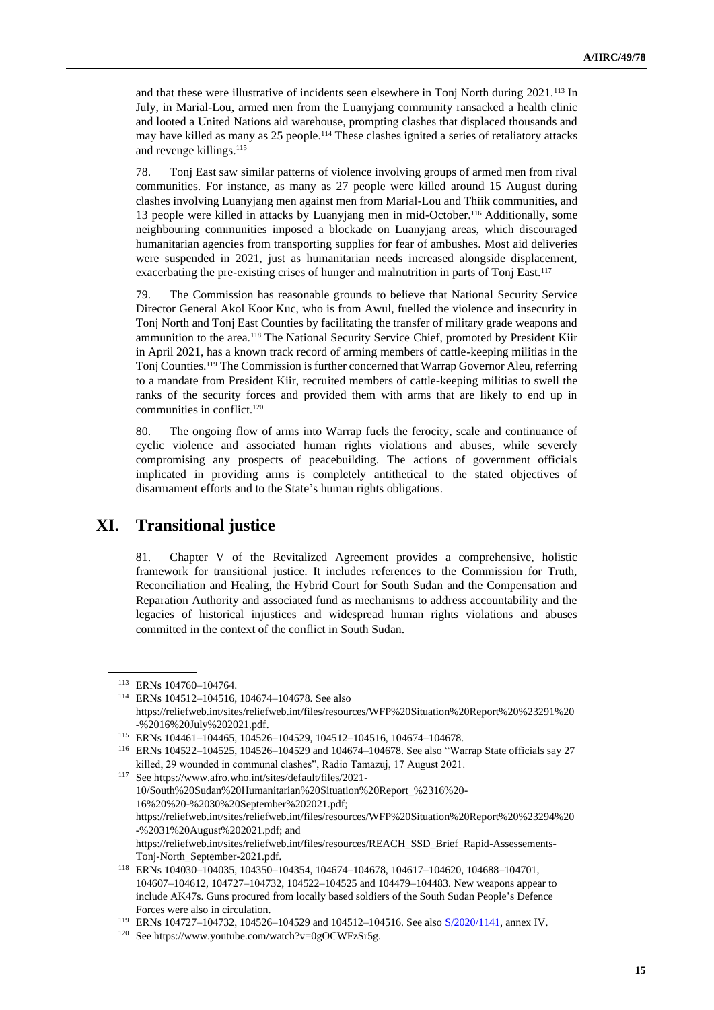and that these were illustrative of incidents seen elsewhere in Tonj North during 2021.<sup>113</sup> In July, in Marial-Lou, armed men from the Luanyjang community ransacked a health clinic and looted a United Nations aid warehouse, prompting clashes that displaced thousands and may have killed as many as 25 people.<sup>114</sup> These clashes ignited a series of retaliatory attacks and revenge killings.<sup>115</sup>

78. Tonj East saw similar patterns of violence involving groups of armed men from rival communities. For instance, as many as 27 people were killed around 15 August during clashes involving Luanyjang men against men from Marial-Lou and Thiik communities, and 13 people were killed in attacks by Luanyjang men in mid-October.<sup>116</sup> Additionally, some neighbouring communities imposed a blockade on Luanyjang areas, which discouraged humanitarian agencies from transporting supplies for fear of ambushes. Most aid deliveries were suspended in 2021, just as humanitarian needs increased alongside displacement, exacerbating the pre-existing crises of hunger and malnutrition in parts of Tonj East.<sup>117</sup>

79. The Commission has reasonable grounds to believe that National Security Service Director General Akol Koor Kuc, who is from Awul, fuelled the violence and insecurity in Tonj North and Tonj East Counties by facilitating the transfer of military grade weapons and ammunition to the area.<sup>118</sup> The National Security Service Chief, promoted by President Kiir in April 2021, has a known track record of arming members of cattle-keeping militias in the Tonj Counties.<sup>119</sup> The Commission is further concerned that Warrap Governor Aleu, referring to a mandate from President Kiir, recruited members of cattle-keeping militias to swell the ranks of the security forces and provided them with arms that are likely to end up in communities in conflict.<sup>120</sup>

80. The ongoing flow of arms into Warrap fuels the ferocity, scale and continuance of cyclic violence and associated human rights violations and abuses, while severely compromising any prospects of peacebuilding. The actions of government officials implicated in providing arms is completely antithetical to the stated objectives of disarmament efforts and to the State's human rights obligations.

# **XI. Transitional justice**

81. Chapter V of the Revitalized Agreement provides a comprehensive, holistic framework for transitional justice. It includes references to the Commission for Truth, Reconciliation and Healing, the Hybrid Court for South Sudan and the Compensation and Reparation Authority and associated fund as mechanisms to address accountability and the legacies of historical injustices and widespread human rights violations and abuses committed in the context of the conflict in South Sudan.

<sup>113</sup> ERNs 104760–104764.

<sup>114</sup> ERNs 104512–104516, 104674–104678. See also https://reliefweb.int/sites/reliefweb.int/files/resources/WFP%20Situation%20Report%20%23291%20 -%2016%20July%202021.pdf.

<sup>115</sup> ERNs 104461–104465, 104526–104529, 104512–104516, 104674–104678.

<sup>116</sup> ERNs 104522–104525, 104526–104529 and 104674–104678. See also "Warrap State officials say 27 killed, 29 wounded in communal clashes", Radio Tamazuj, 17 August 2021.

<sup>117</sup> See https://www.afro.who.int/sites/default/files/2021- 10/South%20Sudan%20Humanitarian%20Situation%20Report\_%2316%20- 16%20%20-%2030%20September%202021.pdf; https://reliefweb.int/sites/reliefweb.int/files/resources/WFP%20Situation%20Report%20%23294%20 -%2031%20August%202021.pdf; and https://reliefweb.int/sites/reliefweb.int/files/resources/REACH\_SSD\_Brief\_Rapid-Assessements-Tonj-North\_September-2021.pdf.

<sup>118</sup> ERNs 104030–104035, 104350–104354, 104674–104678, 104617–104620, 104688–104701, 104607–104612, 104727–104732, 104522–104525 and 104479–104483. New weapons appear to include AK47s. Guns procured from locally based soldiers of the South Sudan People's Defence Forces were also in circulation.

<sup>119</sup> ERNs 104727–104732, 104526–104529 and 104512–104516. See also [S/2020/1141,](http://undocs.org/en/S/2020/1141) annex IV.

<sup>120</sup> See https://www.youtube.com/watch?v=0gOCWFzSr5g.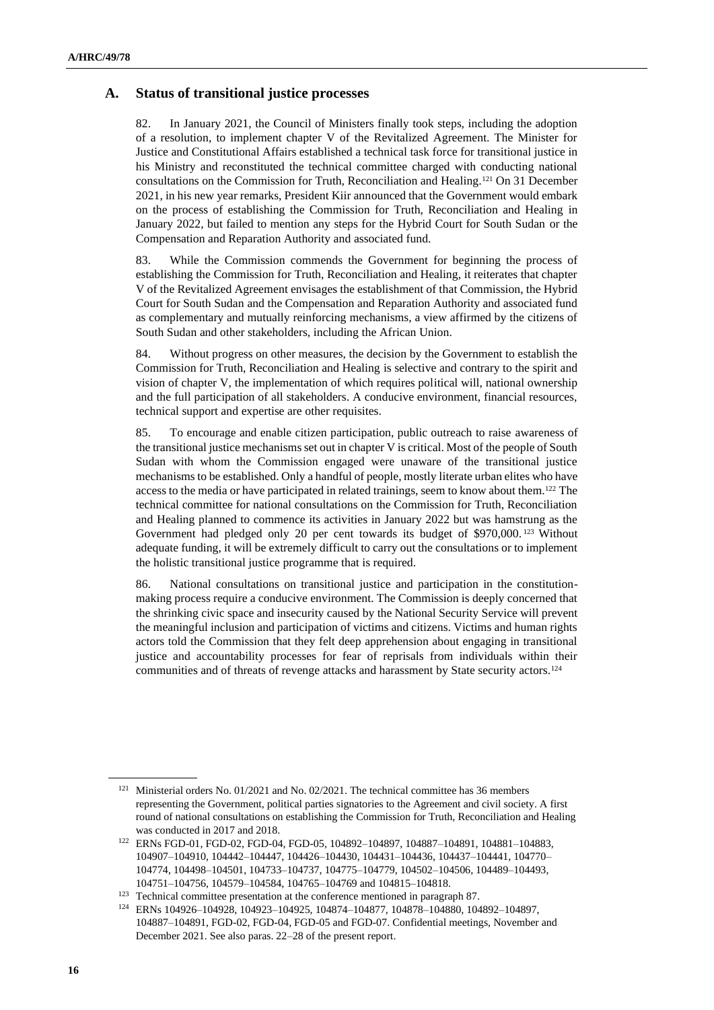#### **A. Status of transitional justice processes**

82. In January 2021, the Council of Ministers finally took steps, including the adoption of a resolution, to implement chapter V of the Revitalized Agreement. The Minister for Justice and Constitutional Affairs established a technical task force for transitional justice in his Ministry and reconstituted the technical committee charged with conducting national consultations on the Commission for Truth, Reconciliation and Healing.<sup>121</sup> On 31 December 2021, in his new year remarks, President Kiir announced that the Government would embark on the process of establishing the Commission for Truth, Reconciliation and Healing in January 2022, but failed to mention any steps for the Hybrid Court for South Sudan or the Compensation and Reparation Authority and associated fund.

83. While the Commission commends the Government for beginning the process of establishing the Commission for Truth, Reconciliation and Healing, it reiterates that chapter V of the Revitalized Agreement envisages the establishment of that Commission, the Hybrid Court for South Sudan and the Compensation and Reparation Authority and associated fund as complementary and mutually reinforcing mechanisms, a view affirmed by the citizens of South Sudan and other stakeholders, including the African Union.

84. Without progress on other measures, the decision by the Government to establish the Commission for Truth, Reconciliation and Healing is selective and contrary to the spirit and vision of chapter V, the implementation of which requires political will, national ownership and the full participation of all stakeholders. A conducive environment, financial resources, technical support and expertise are other requisites.

85. To encourage and enable citizen participation, public outreach to raise awareness of the transitional justice mechanisms set out in chapter V is critical. Most of the people of South Sudan with whom the Commission engaged were unaware of the transitional justice mechanisms to be established. Only a handful of people, mostly literate urban elites who have access to the media or have participated in related trainings, seem to know about them.<sup>122</sup> The technical committee for national consultations on the Commission for Truth, Reconciliation and Healing planned to commence its activities in January 2022 but was hamstrung as the Government had pledged only 20 per cent towards its budget of \$970,000. <sup>123</sup> Without adequate funding, it will be extremely difficult to carry out the consultations or to implement the holistic transitional justice programme that is required.

86. National consultations on transitional justice and participation in the constitutionmaking process require a conducive environment. The Commission is deeply concerned that the shrinking civic space and insecurity caused by the National Security Service will prevent the meaningful inclusion and participation of victims and citizens. Victims and human rights actors told the Commission that they felt deep apprehension about engaging in transitional justice and accountability processes for fear of reprisals from individuals within their communities and of threats of revenge attacks and harassment by State security actors.<sup>124</sup>

<sup>&</sup>lt;sup>121</sup> Ministerial orders No. 01/2021 and No. 02/2021. The technical committee has 36 members representing the Government, political parties signatories to the Agreement and civil society. A first round of national consultations on establishing the Commission for Truth, Reconciliation and Healing was conducted in 2017 and 2018.

<sup>122</sup> ERNs FGD-01, FGD-02, FGD-04, FGD-05, 104892–104897, 104887–104891, 104881–104883, 104907–104910, 104442–104447, 104426–104430, 104431–104436, 104437–104441, 104770– 104774, 104498–104501, 104733–104737, 104775–104779, 104502–104506, 104489–104493, 104751–104756, 104579–104584, 104765–104769 and 104815–104818.

<sup>123</sup> Technical committee presentation at the conference mentioned in paragraph 87.

<sup>124</sup> ERNs 104926–104928, 104923–104925, 104874–104877, 104878–104880, 104892–104897, 104887–104891, FGD-02, FGD-04, FGD-05 and FGD-07. Confidential meetings, November and December 2021. See also paras. 22–28 of the present report.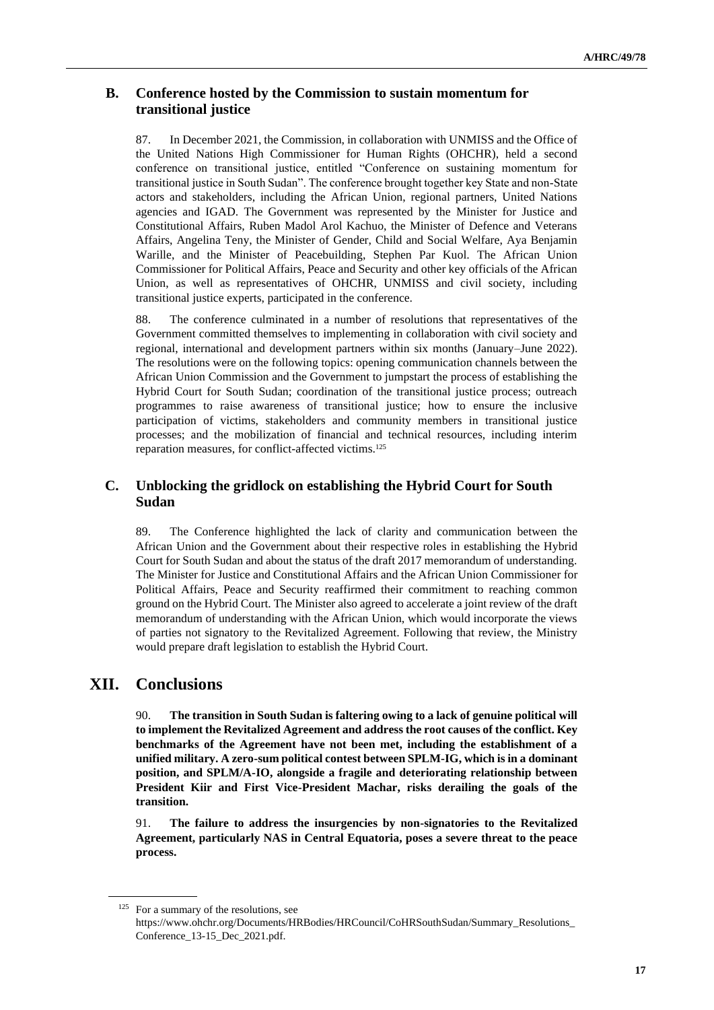### **B. Conference hosted by the Commission to sustain momentum for transitional justice**

87. In December 2021, the Commission, in collaboration with UNMISS and the Office of the United Nations High Commissioner for Human Rights (OHCHR), held a second conference on transitional justice, entitled "Conference on sustaining momentum for transitional justice in South Sudan". The conference brought together key State and non-State actors and stakeholders, including the African Union, regional partners, United Nations agencies and IGAD. The Government was represented by the Minister for Justice and Constitutional Affairs, Ruben Madol Arol Kachuo, the Minister of Defence and Veterans Affairs, Angelina Teny, the Minister of Gender, Child and Social Welfare, Aya Benjamin Warille, and the Minister of Peacebuilding, Stephen Par Kuol. The African Union Commissioner for Political Affairs, Peace and Security and other key officials of the African Union, as well as representatives of OHCHR, UNMISS and civil society, including transitional justice experts, participated in the conference.

88. The conference culminated in a number of resolutions that representatives of the Government committed themselves to implementing in collaboration with civil society and regional, international and development partners within six months (January–June 2022). The resolutions were on the following topics: opening communication channels between the African Union Commission and the Government to jumpstart the process of establishing the Hybrid Court for South Sudan; coordination of the transitional justice process; outreach programmes to raise awareness of transitional justice; how to ensure the inclusive participation of victims, stakeholders and community members in transitional justice processes; and the mobilization of financial and technical resources, including interim reparation measures, for conflict-affected victims.<sup>125</sup>

### **C. Unblocking the gridlock on establishing the Hybrid Court for South Sudan**

89. The Conference highlighted the lack of clarity and communication between the African Union and the Government about their respective roles in establishing the Hybrid Court for South Sudan and about the status of the draft 2017 memorandum of understanding. The Minister for Justice and Constitutional Affairs and the African Union Commissioner for Political Affairs, Peace and Security reaffirmed their commitment to reaching common ground on the Hybrid Court. The Minister also agreed to accelerate a joint review of the draft memorandum of understanding with the African Union, which would incorporate the views of parties not signatory to the Revitalized Agreement. Following that review, the Ministry would prepare draft legislation to establish the Hybrid Court.

# **XII. Conclusions**

90. **The transition in South Sudan is faltering owing to a lack of genuine political will to implement the Revitalized Agreement and address the root causes of the conflict. Key benchmarks of the Agreement have not been met, including the establishment of a unified military. A zero-sum political contest between SPLM-IG, which is in a dominant position, and SPLM/A-IO, alongside a fragile and deteriorating relationship between President Kiir and First Vice-President Machar, risks derailing the goals of the transition.**

91. **The failure to address the insurgencies by non-signatories to the Revitalized Agreement, particularly NAS in Central Equatoria, poses a severe threat to the peace process.**

<sup>&</sup>lt;sup>125</sup> For a summary of the resolutions, see

https://www.ohchr.org/Documents/HRBodies/HRCouncil/CoHRSouthSudan/Summary\_Resolutions\_ Conference\_13-15\_Dec\_2021.pdf.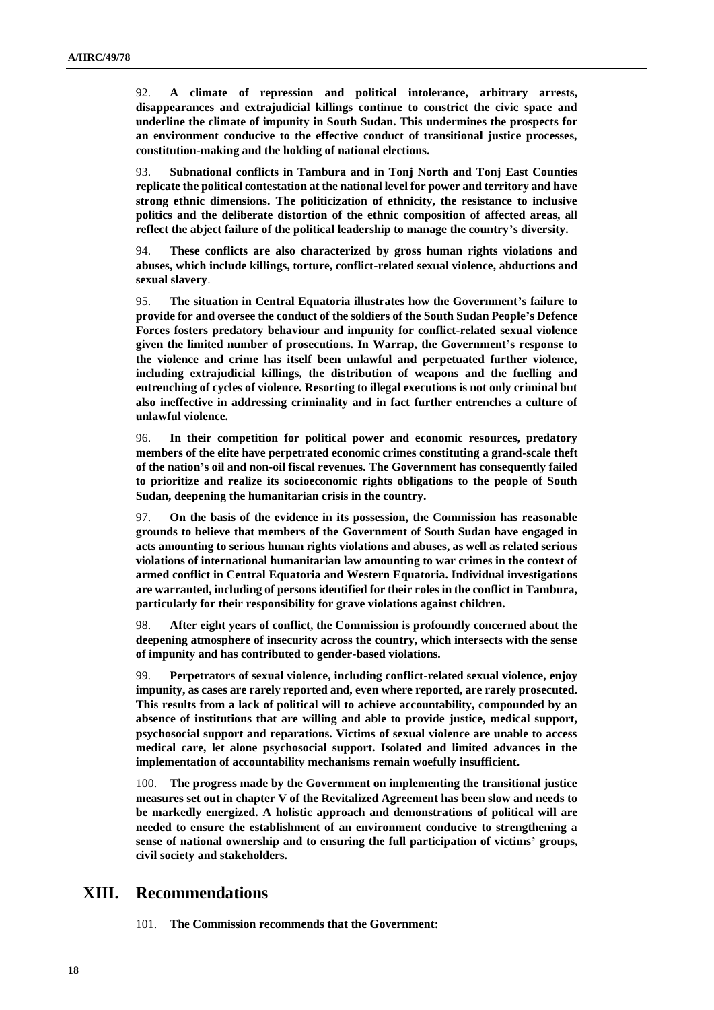92. **A climate of repression and political intolerance, arbitrary arrests, disappearances and extrajudicial killings continue to constrict the civic space and underline the climate of impunity in South Sudan. This undermines the prospects for an environment conducive to the effective conduct of transitional justice processes, constitution-making and the holding of national elections.** 

93. **Subnational conflicts in Tambura and in Tonj North and Tonj East Counties replicate the political contestation at the national level for power and territory and have strong ethnic dimensions. The politicization of ethnicity, the resistance to inclusive politics and the deliberate distortion of the ethnic composition of affected areas, all reflect the abject failure of the political leadership to manage the country's diversity.** 

94. **These conflicts are also characterized by gross human rights violations and abuses, which include killings, torture, conflict-related sexual violence, abductions and sexual slavery**.

95. **The situation in Central Equatoria illustrates how the Government's failure to provide for and oversee the conduct of the soldiers of the South Sudan People's Defence Forces fosters predatory behaviour and impunity for conflict-related sexual violence given the limited number of prosecutions. In Warrap, the Government's response to the violence and crime has itself been unlawful and perpetuated further violence, including extrajudicial killings, the distribution of weapons and the fuelling and entrenching of cycles of violence. Resorting to illegal executions is not only criminal but also ineffective in addressing criminality and in fact further entrenches a culture of unlawful violence.** 

96. **In their competition for political power and economic resources, predatory members of the elite have perpetrated economic crimes constituting a grand-scale theft of the nation's oil and non-oil fiscal revenues. The Government has consequently failed to prioritize and realize its socioeconomic rights obligations to the people of South Sudan, deepening the humanitarian crisis in the country.** 

97. **On the basis of the evidence in its possession, the Commission has reasonable grounds to believe that members of the Government of South Sudan have engaged in acts amounting to serious human rights violations and abuses, as well as related serious violations of international humanitarian law amounting to war crimes in the context of armed conflict in Central Equatoria and Western Equatoria. Individual investigations are warranted, including of persons identified for their roles in the conflict in Tambura, particularly for their responsibility for grave violations against children.**

98. **After eight years of conflict, the Commission is profoundly concerned about the deepening atmosphere of insecurity across the country, which intersects with the sense of impunity and has contributed to gender-based violations.**

99. **Perpetrators of sexual violence, including conflict-related sexual violence, enjoy impunity, as cases are rarely reported and, even where reported, are rarely prosecuted. This results from a lack of political will to achieve accountability, compounded by an absence of institutions that are willing and able to provide justice, medical support, psychosocial support and reparations. Victims of sexual violence are unable to access medical care, let alone psychosocial support. Isolated and limited advances in the implementation of accountability mechanisms remain woefully insufficient.** 

100. **The progress made by the Government on implementing the transitional justice measures set out in chapter V of the Revitalized Agreement has been slow and needs to be markedly energized. A holistic approach and demonstrations of political will are needed to ensure the establishment of an environment conducive to strengthening a sense of national ownership and to ensuring the full participation of victims' groups, civil society and stakeholders.** 

## **XIII. Recommendations**

101. **The Commission recommends that the Government:**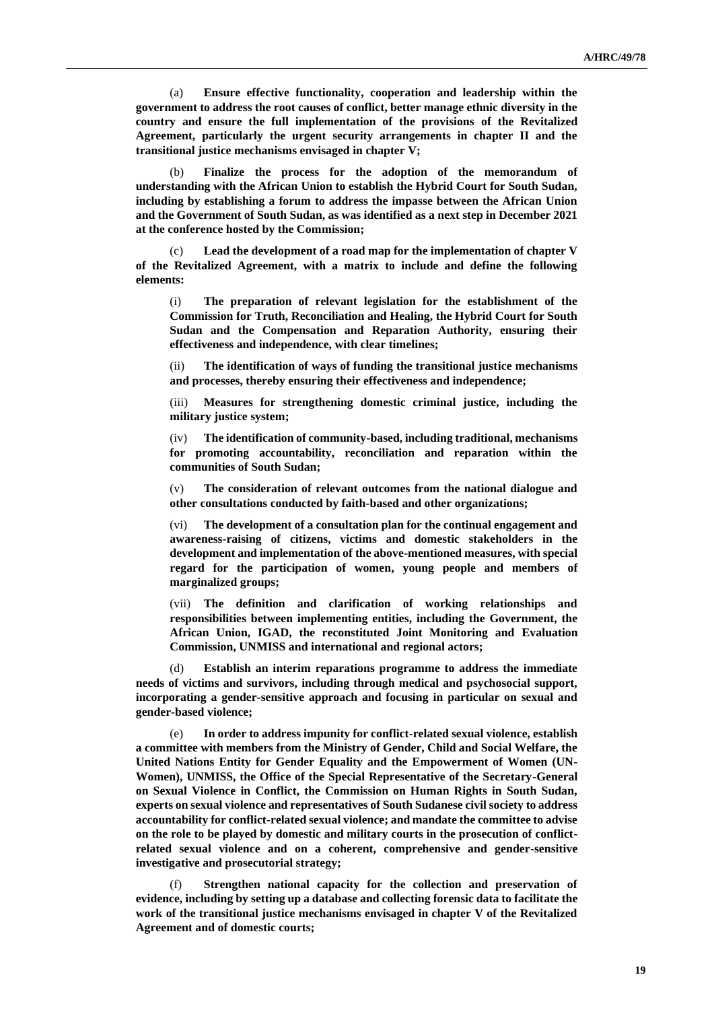(a) **Ensure effective functionality, cooperation and leadership within the government to address the root causes of conflict, better manage ethnic diversity in the country and ensure the full implementation of the provisions of the Revitalized Agreement, particularly the urgent security arrangements in chapter II and the transitional justice mechanisms envisaged in chapter V;**

(b) **Finalize the process for the adoption of the memorandum of understanding with the African Union to establish the Hybrid Court for South Sudan, including by establishing a forum to address the impasse between the African Union and the Government of South Sudan, as was identified as a next step in December 2021 at the conference hosted by the Commission;** 

Lead the development of a road map for the implementation of chapter V **of the Revitalized Agreement, with a matrix to include and define the following elements:**

(i) **The preparation of relevant legislation for the establishment of the Commission for Truth, Reconciliation and Healing, the Hybrid Court for South Sudan and the Compensation and Reparation Authority, ensuring their effectiveness and independence, with clear timelines;**

(ii) **The identification of ways of funding the transitional justice mechanisms and processes, thereby ensuring their effectiveness and independence;**

(iii) **Measures for strengthening domestic criminal justice, including the military justice system;**

(iv) **The identification of community-based, including traditional, mechanisms for promoting accountability, reconciliation and reparation within the communities of South Sudan;**

(v) **The consideration of relevant outcomes from the national dialogue and other consultations conducted by faith-based and other organizations;**

(vi) **The development of a consultation plan for the continual engagement and awareness-raising of citizens, victims and domestic stakeholders in the development and implementation of the above-mentioned measures, with special regard for the participation of women, young people and members of marginalized groups;**

(vii) **The definition and clarification of working relationships and responsibilities between implementing entities, including the Government, the African Union, IGAD, the reconstituted Joint Monitoring and Evaluation Commission, UNMISS and international and regional actors;**

**Establish an interim reparations programme to address the immediate needs of victims and survivors, including through medical and psychosocial support, incorporating a gender-sensitive approach and focusing in particular on sexual and gender-based violence;** 

(e) **In order to address impunity for conflict-related sexual violence, establish a committee with members from the Ministry of Gender, Child and Social Welfare, the United Nations Entity for Gender Equality and the Empowerment of Women (UN-Women), UNMISS, the Office of the Special Representative of the Secretary-General on Sexual Violence in Conflict, the Commission on Human Rights in South Sudan, experts on sexual violence and representatives of South Sudanese civil society to address accountability for conflict-related sexual violence; and mandate the committee to advise on the role to be played by domestic and military courts in the prosecution of conflictrelated sexual violence and on a coherent, comprehensive and gender-sensitive investigative and prosecutorial strategy;**

Strengthen national capacity for the collection and preservation of **evidence, including by setting up a database and collecting forensic data to facilitate the work of the transitional justice mechanisms envisaged in chapter V of the Revitalized Agreement and of domestic courts;**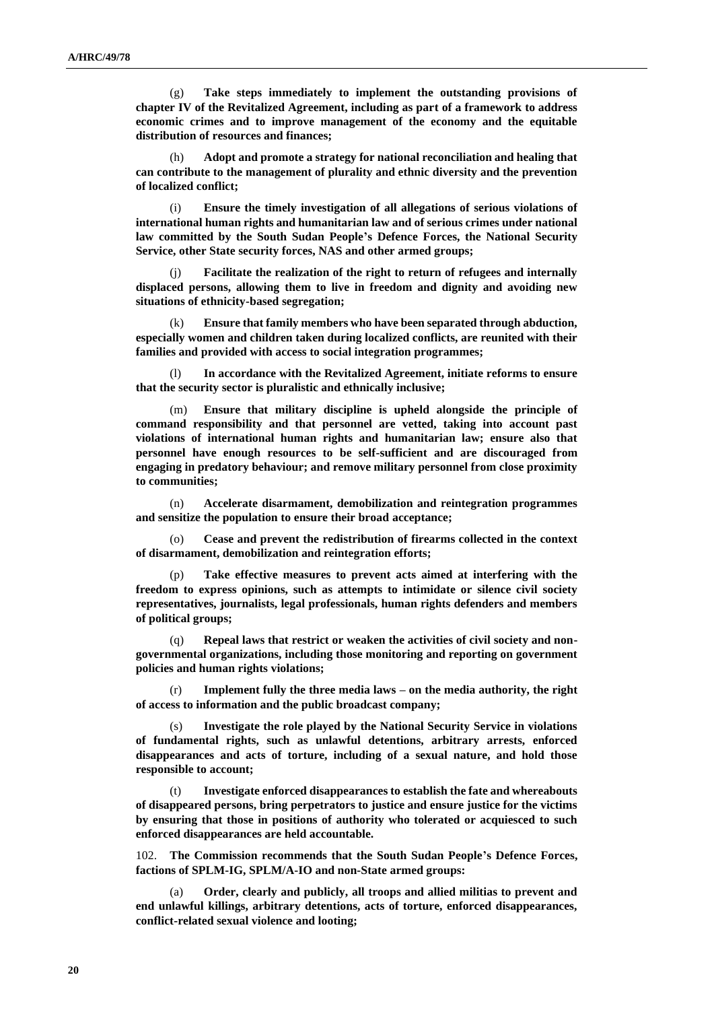(g) **Take steps immediately to implement the outstanding provisions of chapter IV of the Revitalized Agreement, including as part of a framework to address economic crimes and to improve management of the economy and the equitable distribution of resources and finances;**

(h) **Adopt and promote a strategy for national reconciliation and healing that can contribute to the management of plurality and ethnic diversity and the prevention of localized conflict;**

(i) **Ensure the timely investigation of all allegations of serious violations of international human rights and humanitarian law and of serious crimes under national law committed by the South Sudan People's Defence Forces, the National Security Service, other State security forces, NAS and other armed groups;**

(j) **Facilitate the realization of the right to return of refugees and internally displaced persons, allowing them to live in freedom and dignity and avoiding new situations of ethnicity-based segregation;**

(k) **Ensure that family members who have been separated through abduction, especially women and children taken during localized conflicts, are reunited with their families and provided with access to social integration programmes;**

In accordance with the Revitalized Agreement, initiate reforms to ensure **that the security sector is pluralistic and ethnically inclusive;**

(m) **Ensure that military discipline is upheld alongside the principle of command responsibility and that personnel are vetted, taking into account past violations of international human rights and humanitarian law; ensure also that personnel have enough resources to be self-sufficient and are discouraged from engaging in predatory behaviour; and remove military personnel from close proximity to communities;**

(n) **Accelerate disarmament, demobilization and reintegration programmes and sensitize the population to ensure their broad acceptance;**

(o) **Cease and prevent the redistribution of firearms collected in the context of disarmament, demobilization and reintegration efforts;**

(p) **Take effective measures to prevent acts aimed at interfering with the freedom to express opinions, such as attempts to intimidate or silence civil society representatives, journalists, legal professionals, human rights defenders and members of political groups;**

(q) **Repeal laws that restrict or weaken the activities of civil society and nongovernmental organizations, including those monitoring and reporting on government policies and human rights violations;**

(r) **Implement fully the three media laws – on the media authority, the right of access to information and the public broadcast company;**

Investigate the role played by the National Security Service in violations **of fundamental rights, such as unlawful detentions, arbitrary arrests, enforced disappearances and acts of torture, including of a sexual nature, and hold those responsible to account;**

Investigate enforced disappearances to establish the fate and whereabouts **of disappeared persons, bring perpetrators to justice and ensure justice for the victims by ensuring that those in positions of authority who tolerated or acquiesced to such enforced disappearances are held accountable.**

102. **The Commission recommends that the South Sudan People's Defence Forces, factions of SPLM-IG, SPLM/A-IO and non-State armed groups:**

(a) **Order, clearly and publicly, all troops and allied militias to prevent and end unlawful killings, arbitrary detentions, acts of torture, enforced disappearances, conflict-related sexual violence and looting;**